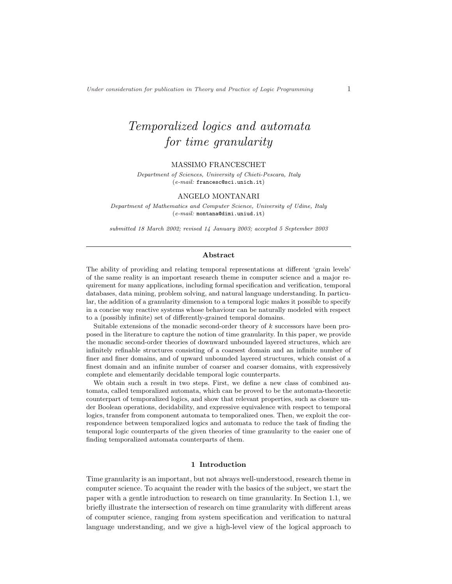# Temporalized logics and automata for time granularity

#### MASSIMO FRANCESCHET

Department of Sciences, University of Chieti-Pescara, Italy (e-mail: francesc@sci.unich.it)

#### ANGELO MONTANARI

Department of Mathematics and Computer Science, University of Udine, Italy  $(e-mail:$  montana@dimi.uniud.it)

submitted 18 March 2002; revised 14 January 2003; accepted 5 September 2003

## Abstract

The ability of providing and relating temporal representations at different 'grain levels' of the same reality is an important research theme in computer science and a major requirement for many applications, including formal specification and verification, temporal databases, data mining, problem solving, and natural language understanding. In particular, the addition of a granularity dimension to a temporal logic makes it possible to specify in a concise way reactive systems whose behaviour can be naturally modeled with respect to a (possibly infinite) set of differently-grained temporal domains.

Suitable extensions of the monadic second-order theory of k successors have been proposed in the literature to capture the notion of time granularity. In this paper, we provide the monadic second-order theories of downward unbounded layered structures, which are infinitely refinable structures consisting of a coarsest domain and an infinite number of finer and finer domains, and of upward unbounded layered structures, which consist of a finest domain and an infinite number of coarser and coarser domains, with expressively complete and elementarily decidable temporal logic counterparts.

We obtain such a result in two steps. First, we define a new class of combined automata, called temporalized automata, which can be proved to be the automata-theoretic counterpart of temporalized logics, and show that relevant properties, such as closure under Boolean operations, decidability, and expressive equivalence with respect to temporal logics, transfer from component automata to temporalized ones. Then, we exploit the correspondence between temporalized logics and automata to reduce the task of finding the temporal logic counterparts of the given theories of time granularity to the easier one of finding temporalized automata counterparts of them.

## 1 Introduction

Time granularity is an important, but not always well-understood, research theme in computer science. To acquaint the reader with the basics of the subject, we start the paper with a gentle introduction to research on time granularity. In Section 1.1, we briefly illustrate the intersection of research on time granularity with different areas of computer science, ranging from system specification and verification to natural language understanding, and we give a high-level view of the logical approach to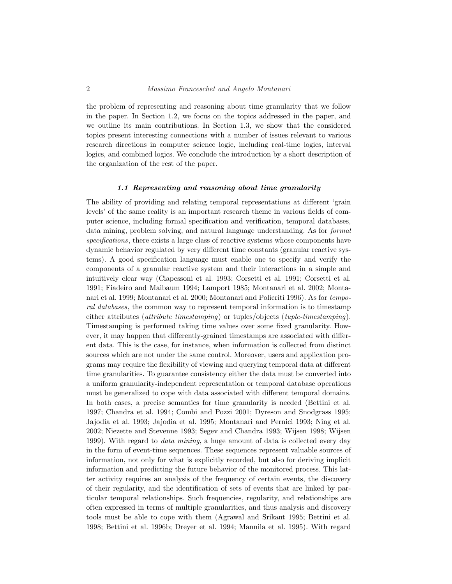# 2 Massimo Franceschet and Angelo Montanari

the problem of representing and reasoning about time granularity that we follow in the paper. In Section 1.2, we focus on the topics addressed in the paper, and we outline its main contributions. In Section 1.3, we show that the considered topics present interesting connections with a number of issues relevant to various research directions in computer science logic, including real-time logics, interval logics, and combined logics. We conclude the introduction by a short description of the organization of the rest of the paper.

## 1.1 Representing and reasoning about time granularity

The ability of providing and relating temporal representations at different 'grain levels' of the same reality is an important research theme in various fields of computer science, including formal specification and verification, temporal databases, data mining, problem solving, and natural language understanding. As for formal specifications, there exists a large class of reactive systems whose components have dynamic behavior regulated by very different time constants (granular reactive systems). A good specification language must enable one to specify and verify the components of a granular reactive system and their interactions in a simple and intuitively clear way (Ciapessoni et al. 1993; Corsetti et al. 1991; Corsetti et al. 1991; Fiadeiro and Maibaum 1994; Lamport 1985; Montanari et al. 2002; Montanari et al. 1999; Montanari et al. 2000; Montanari and Policriti 1996). As for temporal databases, the common way to represent temporal information is to timestamp either attributes (*attribute timestamping*) or tuples/objects (*tuple-timestamping*). Timestamping is performed taking time values over some fixed granularity. However, it may happen that differently-grained timestamps are associated with different data. This is the case, for instance, when information is collected from distinct sources which are not under the same control. Moreover, users and application programs may require the flexibility of viewing and querying temporal data at different time granularities. To guarantee consistency either the data must be converted into a uniform granularity-independent representation or temporal database operations must be generalized to cope with data associated with different temporal domains. In both cases, a precise semantics for time granularity is needed (Bettini et al. 1997; Chandra et al. 1994; Combi and Pozzi 2001; Dyreson and Snodgrass 1995; Jajodia et al. 1993; Jajodia et al. 1995; Montanari and Pernici 1993; Ning et al. 2002; Niezette and Stevenne 1993; Segev and Chandra 1993; Wijsen 1998; Wijsen 1999). With regard to data mining, a huge amount of data is collected every day in the form of event-time sequences. These sequences represent valuable sources of information, not only for what is explicitly recorded, but also for deriving implicit information and predicting the future behavior of the monitored process. This latter activity requires an analysis of the frequency of certain events, the discovery of their regularity, and the identification of sets of events that are linked by particular temporal relationships. Such frequencies, regularity, and relationships are often expressed in terms of multiple granularities, and thus analysis and discovery tools must be able to cope with them (Agrawal and Srikant 1995; Bettini et al. 1998; Bettini et al. 1996b; Dreyer et al. 1994; Mannila et al. 1995). With regard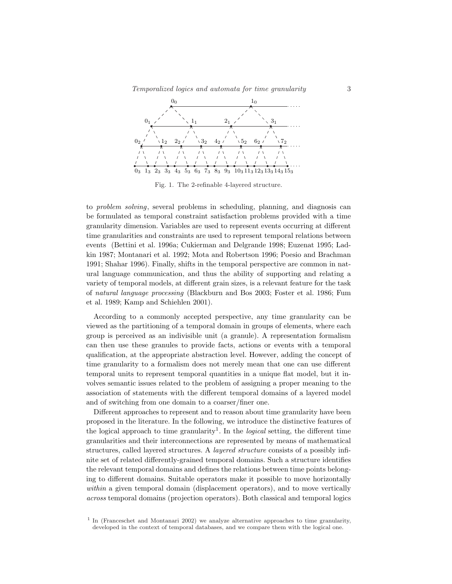Temporalized logics and automata for time granularity 3



Fig. 1. The 2-refinable 4-layered structure.

to problem solving, several problems in scheduling, planning, and diagnosis can be formulated as temporal constraint satisfaction problems provided with a time granularity dimension. Variables are used to represent events occurring at different time granularities and constraints are used to represent temporal relations between events (Bettini et al. 1996a; Cukierman and Delgrande 1998; Euzenat 1995; Ladkin 1987; Montanari et al. 1992; Mota and Robertson 1996; Poesio and Brachman 1991; Shahar 1996). Finally, shifts in the temporal perspective are common in natural language communication, and thus the ability of supporting and relating a variety of temporal models, at different grain sizes, is a relevant feature for the task of natural language processing (Blackburn and Bos 2003; Foster et al. 1986; Fum et al. 1989; Kamp and Schiehlen 2001).

According to a commonly accepted perspective, any time granularity can be viewed as the partitioning of a temporal domain in groups of elements, where each group is perceived as an indivisible unit (a granule). A representation formalism can then use these granules to provide facts, actions or events with a temporal qualification, at the appropriate abstraction level. However, adding the concept of time granularity to a formalism does not merely mean that one can use different temporal units to represent temporal quantities in a unique flat model, but it involves semantic issues related to the problem of assigning a proper meaning to the association of statements with the different temporal domains of a layered model and of switching from one domain to a coarser/finer one.

Different approaches to represent and to reason about time granularity have been proposed in the literature. In the following, we introduce the distinctive features of the logical approach to time granularity<sup>1</sup>. In the *logical* setting, the different time granularities and their interconnections are represented by means of mathematical structures, called layered structures. A layered structure consists of a possibly infinite set of related differently-grained temporal domains. Such a structure identifies the relevant temporal domains and defines the relations between time points belonging to different domains. Suitable operators make it possible to move horizontally within a given temporal domain (displacement operators), and to move vertically across temporal domains (projection operators). Both classical and temporal logics

<sup>&</sup>lt;sup>1</sup> In (Franceschet and Montanari 2002) we analyze alternative approaches to time granularity, developed in the context of temporal databases, and we compare them with the logical one.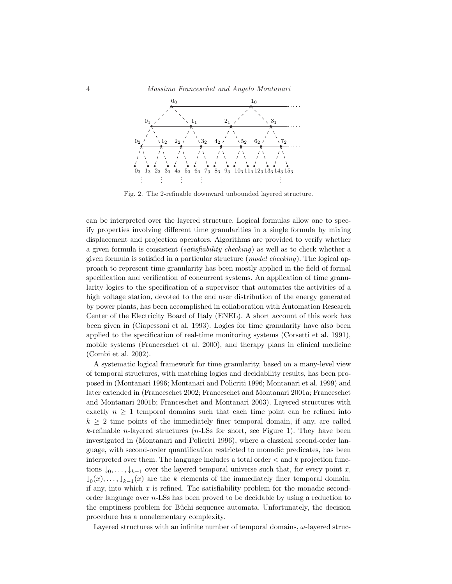4 Massimo Franceschet and Angelo Montanari



Fig. 2. The 2-refinable downward unbounded layered structure.

can be interpreted over the layered structure. Logical formulas allow one to specify properties involving different time granularities in a single formula by mixing displacement and projection operators. Algorithms are provided to verify whether a given formula is consistent (satisfiability checking) as well as to check whether a given formula is satisfied in a particular structure (model checking). The logical approach to represent time granularity has been mostly applied in the field of formal specification and verification of concurrent systems. An application of time granularity logics to the specification of a supervisor that automates the activities of a high voltage station, devoted to the end user distribution of the energy generated by power plants, has been accomplished in collaboration with Automation Research Center of the Electricity Board of Italy (ENEL). A short account of this work has been given in (Ciapessoni et al. 1993). Logics for time granularity have also been applied to the specification of real-time monitoring systems (Corsetti et al. 1991), mobile systems (Franceschet et al. 2000), and therapy plans in clinical medicine (Combi et al. 2002).

A systematic logical framework for time granularity, based on a many-level view of temporal structures, with matching logics and decidability results, has been proposed in (Montanari 1996; Montanari and Policriti 1996; Montanari et al. 1999) and later extended in (Franceschet 2002; Franceschet and Montanari 2001a; Franceschet and Montanari 2001b; Franceschet and Montanari 2003). Layered structures with exactly  $n \geq 1$  temporal domains such that each time point can be refined into  $k \geq 2$  time points of the immediately finer temporal domain, if any, are called k-refinable n-layered structures (n-LSs for short, see Figure 1). They have been investigated in (Montanari and Policriti 1996), where a classical second-order language, with second-order quantification restricted to monadic predicates, has been interpreted over them. The language includes a total order  $\lt$  and  $k$  projection functions  $\downarrow_0, \ldots, \downarrow_{k-1}$  over the layered temporal universe such that, for every point x,  $\downarrow_0(x), \ldots, \downarrow_{k-1}(x)$  are the k elements of the immediately finer temporal domain, if any, into which x is refined. The satisfiability problem for the monadic secondorder language over  $n$ -LSs has been proved to be decidable by using a reduction to the emptiness problem for Büchi sequence automata. Unfortunately, the decision procedure has a nonelementary complexity.

Layered structures with an infinite number of temporal domains,  $\omega$ -layered struc-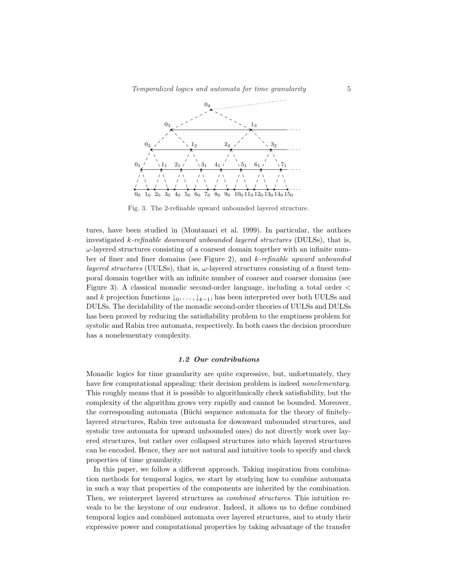

Fig. 3. The 2-refinable upward unbounded layered structure.

tures, have been studied in (Montanari et al. 1999). In particular, the authors investigated k-refinable downward unbounded layered structures (DULSs), that is,  $\omega$ -layered structures consisting of a coarsest domain together with an infinite number of finer and finer domains (see Figure 2), and k-refinable upward unbounded *layered structures* (UULSs), that is,  $\omega$ -layered structures consisting of a finest temporal domain together with an infinite number of coarser and coarser domains (see Figure 3). A classical monadic second-order language, including a total order < and k projection functions  $\downarrow_0, \ldots, \downarrow_{k-1}$ , has been interpreted over both UULSs and DULSs. The decidability of the monadic second-order theories of UULSs and DULSs has been proved by reducing the satisfiability problem to the emptiness problem for systolic and Rabin tree automata, respectively. In both cases the decision procedure has a nonelementary complexity.

#### 1.2 Our contributions

Monadic logics for time granularity are quite expressive, but, unfortunately, they have few computational appealing: their decision problem is indeed *nonelementary*. This roughly means that it is possible to algorithmically check satisfiability, but the complexity of the algorithm grows very rapidly and cannot be bounded. Moreover, the corresponding automata (Büchi sequence automata for the theory of finitelylayered structures, Rabin tree automata for downward unbounded structures, and systolic tree automata for upward unbounded ones) do not directly work over layered structures, but rather over collapsed structures into which layered structures can be encoded. Hence, they are not natural and intuitive tools to specify and check properties of time granularity.

In this paper, we follow a different approach. Taking inspiration from combination methods for temporal logics, we start by studying how to combine automata in such a way that properties of the components are inherited by the combination. Then, we reinterpret layered structures as combined structures. This intuition reveals to be the keystone of our endeavor. Indeed, it allows us to define combined temporal logics and combined automata over layered structures, and to study their expressive power and computational properties by taking advantage of the transfer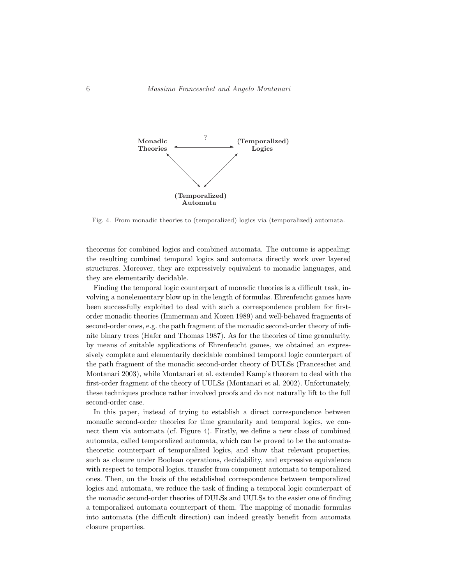

Fig. 4. From monadic theories to (temporalized) logics via (temporalized) automata.

theorems for combined logics and combined automata. The outcome is appealing: the resulting combined temporal logics and automata directly work over layered structures. Moreover, they are expressively equivalent to monadic languages, and they are elementarily decidable.

Finding the temporal logic counterpart of monadic theories is a difficult task, involving a nonelementary blow up in the length of formulas. Ehrenfeucht games have been successfully exploited to deal with such a correspondence problem for firstorder monadic theories (Immerman and Kozen 1989) and well-behaved fragments of second-order ones, e.g. the path fragment of the monadic second-order theory of infinite binary trees (Hafer and Thomas 1987). As for the theories of time granularity, by means of suitable applications of Ehrenfeucht games, we obtained an expressively complete and elementarily decidable combined temporal logic counterpart of the path fragment of the monadic second-order theory of DULSs (Franceschet and Montanari 2003), while Montanari et al. extended Kamp's theorem to deal with the first-order fragment of the theory of UULSs (Montanari et al. 2002). Unfortunately, these techniques produce rather involved proofs and do not naturally lift to the full second-order case.

In this paper, instead of trying to establish a direct correspondence between monadic second-order theories for time granularity and temporal logics, we connect them via automata (cf. Figure 4). Firstly, we define a new class of combined automata, called temporalized automata, which can be proved to be the automatatheoretic counterpart of temporalized logics, and show that relevant properties, such as closure under Boolean operations, decidability, and expressive equivalence with respect to temporal logics, transfer from component automata to temporalized ones. Then, on the basis of the established correspondence between temporalized logics and automata, we reduce the task of finding a temporal logic counterpart of the monadic second-order theories of DULSs and UULSs to the easier one of finding a temporalized automata counterpart of them. The mapping of monadic formulas into automata (the difficult direction) can indeed greatly benefit from automata closure properties.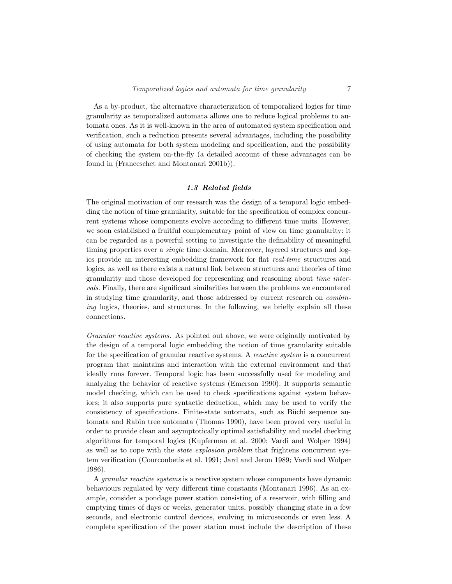As a by-product, the alternative characterization of temporalized logics for time granularity as temporalized automata allows one to reduce logical problems to automata ones. As it is well-known in the area of automated system specification and verification, such a reduction presents several advantages, including the possibility of using automata for both system modeling and specification, and the possibility of checking the system on-the-fly (a detailed account of these advantages can be found in (Franceschet and Montanari 2001b)).

# 1.3 Related fields

The original motivation of our research was the design of a temporal logic embedding the notion of time granularity, suitable for the specification of complex concurrent systems whose components evolve according to different time units. However, we soon established a fruitful complementary point of view on time granularity: it can be regarded as a powerful setting to investigate the definability of meaningful timing properties over a *single* time domain. Moreover, layered structures and logics provide an interesting embedding framework for flat real-time structures and logics, as well as there exists a natural link between structures and theories of time granularity and those developed for representing and reasoning about time intervals. Finally, there are significant similarities between the problems we encountered in studying time granularity, and those addressed by current research on combining logics, theories, and structures. In the following, we briefly explain all these connections.

Granular reactive systems. As pointed out above, we were originally motivated by the design of a temporal logic embedding the notion of time granularity suitable for the specification of granular reactive systems. A reactive system is a concurrent program that maintains and interaction with the external environment and that ideally runs forever. Temporal logic has been successfully used for modeling and analyzing the behavior of reactive systems (Emerson 1990). It supports semantic model checking, which can be used to check specifications against system behaviors; it also supports pure syntactic deduction, which may be used to verify the consistency of specifications. Finite-state automata, such as Büchi sequence automata and Rabin tree automata (Thomas 1990), have been proved very useful in order to provide clean and asymptotically optimal satisfiability and model checking algorithms for temporal logics (Kupferman et al. 2000; Vardi and Wolper 1994) as well as to cope with the state explosion problem that frightens concurrent system verification (Courcoubetis et al. 1991; Jard and Jeron 1989; Vardi and Wolper 1986).

A granular reactive systems is a reactive system whose components have dynamic behaviours regulated by very different time constants (Montanari 1996). As an example, consider a pondage power station consisting of a reservoir, with filling and emptying times of days or weeks, generator units, possibly changing state in a few seconds, and electronic control devices, evolving in microseconds or even less. A complete specification of the power station must include the description of these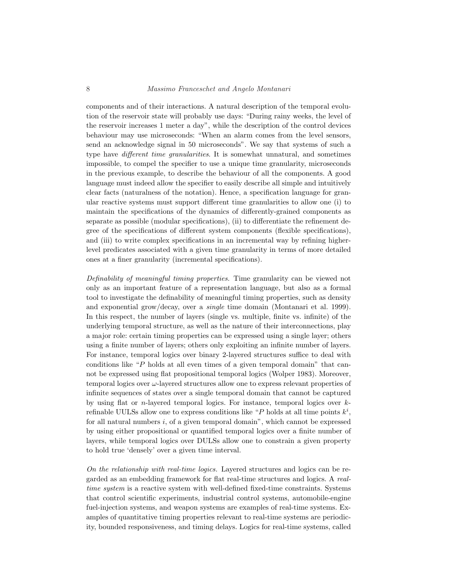# 8 Massimo Franceschet and Angelo Montanari

components and of their interactions. A natural description of the temporal evolution of the reservoir state will probably use days: "During rainy weeks, the level of the reservoir increases 1 meter a day", while the description of the control devices behaviour may use microseconds: "When an alarm comes from the level sensors, send an acknowledge signal in 50 microseconds". We say that systems of such a type have different time granularities. It is somewhat unnatural, and sometimes impossible, to compel the specifier to use a unique time granularity, microseconds in the previous example, to describe the behaviour of all the components. A good language must indeed allow the specifier to easily describe all simple and intuitively clear facts (naturalness of the notation). Hence, a specification language for granular reactive systems must support different time granularities to allow one (i) to maintain the specifications of the dynamics of differently-grained components as separate as possible (modular specifications), (ii) to differentiate the refinement degree of the specifications of different system components (flexible specifications), and (iii) to write complex specifications in an incremental way by refining higherlevel predicates associated with a given time granularity in terms of more detailed ones at a finer granularity (incremental specifications).

Definability of meaningful timing properties. Time granularity can be viewed not only as an important feature of a representation language, but also as a formal tool to investigate the definability of meaningful timing properties, such as density and exponential grow/decay, over a single time domain (Montanari et al. 1999). In this respect, the number of layers (single vs. multiple, finite vs. infinite) of the underlying temporal structure, as well as the nature of their interconnections, play a major role: certain timing properties can be expressed using a single layer; others using a finite number of layers; others only exploiting an infinite number of layers. For instance, temporal logics over binary 2-layered structures suffice to deal with conditions like "P holds at all even times of a given temporal domain" that cannot be expressed using flat propositional temporal logics (Wolper 1983). Moreover, temporal logics over  $\omega$ -layered structures allow one to express relevant properties of infinite sequences of states over a single temporal domain that cannot be captured by using flat or *n*-layered temporal logics. For instance, temporal logics over  $k$ refinable UULSs allow one to express conditions like "P holds at all time points  $k^i$ , for all natural numbers i, of a given temporal domain", which cannot be expressed by using either propositional or quantified temporal logics over a finite number of layers, while temporal logics over DULSs allow one to constrain a given property to hold true 'densely' over a given time interval.

On the relationship with real-time logics. Layered structures and logics can be regarded as an embedding framework for flat real-time structures and logics. A realtime system is a reactive system with well-defined fixed-time constraints. Systems that control scientific experiments, industrial control systems, automobile-engine fuel-injection systems, and weapon systems are examples of real-time systems. Examples of quantitative timing properties relevant to real-time systems are periodicity, bounded responsiveness, and timing delays. Logics for real-time systems, called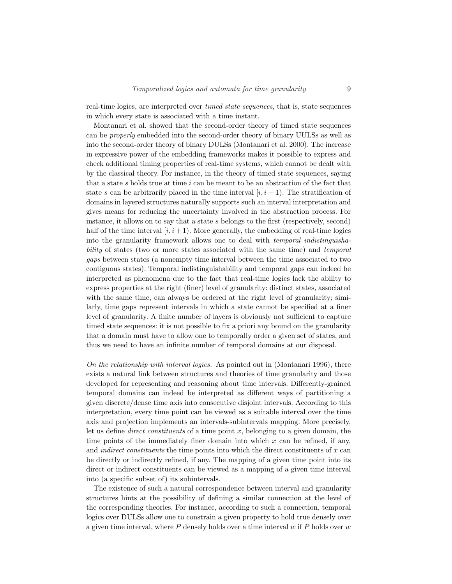real-time logics, are interpreted over timed state sequences, that is, state sequences in which every state is associated with a time instant.

Montanari et al. showed that the second-order theory of timed state sequences can be properly embedded into the second-order theory of binary UULSs as well as into the second-order theory of binary DULSs (Montanari et al. 2000). The increase in expressive power of the embedding frameworks makes it possible to express and check additional timing properties of real-time systems, which cannot be dealt with by the classical theory. For instance, in the theory of timed state sequences, saying that a state  $s$  holds true at time  $i$  can be meant to be an abstraction of the fact that state s can be arbitrarily placed in the time interval  $[i, i + 1]$ . The stratification of domains in layered structures naturally supports such an interval interpretation and gives means for reducing the uncertainty involved in the abstraction process. For instance, it allows on to say that a state s belongs to the first (respectively, second) half of the time interval  $[i, i + 1]$ . More generally, the embedding of real-time logics into the granularity framework allows one to deal with temporal indistinguishability of states (two or more states associated with the same time) and *temporal* gaps between states (a nonempty time interval between the time associated to two contiguous states). Temporal indistinguishability and temporal gaps can indeed be interpreted as phenomena due to the fact that real-time logics lack the ability to express properties at the right (finer) level of granularity: distinct states, associated with the same time, can always be ordered at the right level of granularity; similarly, time gaps represent intervals in which a state cannot be specified at a finer level of granularity. A finite number of layers is obviously not sufficient to capture timed state sequences: it is not possible to fix a priori any bound on the granularity that a domain must have to allow one to temporally order a given set of states, and thus we need to have an infinite number of temporal domains at our disposal.

On the relationship with interval logics. As pointed out in (Montanari 1996), there exists a natural link between structures and theories of time granularity and those developed for representing and reasoning about time intervals. Differently-grained temporal domains can indeed be interpreted as different ways of partitioning a given discrete/dense time axis into consecutive disjoint intervals. According to this interpretation, every time point can be viewed as a suitable interval over the time axis and projection implements an intervals-subintervals mapping. More precisely, let us define *direct constituents* of a time point  $x$ , belonging to a given domain, the time points of the immediately finer domain into which  $x$  can be refined, if any, and *indirect constituents* the time points into which the direct constituents of  $x$  can be directly or indirectly refined, if any. The mapping of a given time point into its direct or indirect constituents can be viewed as a mapping of a given time interval into (a specific subset of) its subintervals.

The existence of such a natural correspondence between interval and granularity structures hints at the possibility of defining a similar connection at the level of the corresponding theories. For instance, according to such a connection, temporal logics over DULSs allow one to constrain a given property to hold true densely over a given time interval, where  $P$  densely holds over a time interval  $w$  if  $P$  holds over  $w$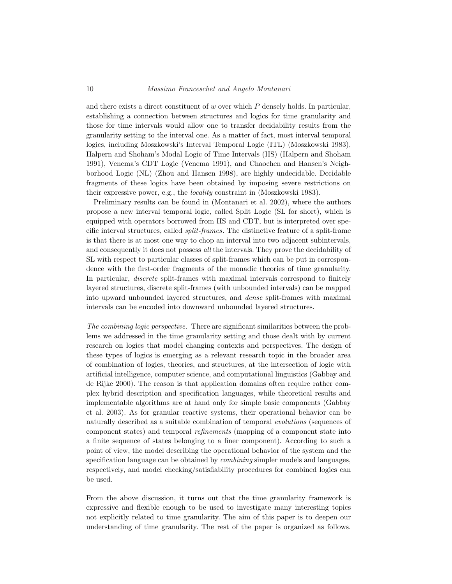# 10 Massimo Franceschet and Angelo Montanari

and there exists a direct constituent of  $w$  over which  $P$  densely holds. In particular, establishing a connection between structures and logics for time granularity and those for time intervals would allow one to transfer decidability results from the granularity setting to the interval one. As a matter of fact, most interval temporal logics, including Moszkowski's Interval Temporal Logic (ITL) (Moszkowski 1983), Halpern and Shoham's Modal Logic of Time Intervals (HS) (Halpern and Shoham 1991), Venema's CDT Logic (Venema 1991), and Chaochen and Hansen's Neighborhood Logic (NL) (Zhou and Hansen 1998), are highly undecidable. Decidable fragments of these logics have been obtained by imposing severe restrictions on their expressive power, e.g., the locality constraint in (Moszkowski 1983).

Preliminary results can be found in (Montanari et al. 2002), where the authors propose a new interval temporal logic, called Split Logic (SL for short), which is equipped with operators borrowed from HS and CDT, but is interpreted over specific interval structures, called split-frames. The distinctive feature of a split-frame is that there is at most one way to chop an interval into two adjacent subintervals, and consequently it does not possess *all* the intervals. They prove the decidability of SL with respect to particular classes of split-frames which can be put in correspondence with the first-order fragments of the monadic theories of time granularity. In particular, discrete split-frames with maximal intervals correspond to finitely layered structures, discrete split-frames (with unbounded intervals) can be mapped into upward unbounded layered structures, and dense split-frames with maximal intervals can be encoded into downward unbounded layered structures.

The combining logic perspective. There are significant similarities between the problems we addressed in the time granularity setting and those dealt with by current research on logics that model changing contexts and perspectives. The design of these types of logics is emerging as a relevant research topic in the broader area of combination of logics, theories, and structures, at the intersection of logic with artificial intelligence, computer science, and computational linguistics (Gabbay and de Rijke 2000). The reason is that application domains often require rather complex hybrid description and specification languages, while theoretical results and implementable algorithms are at hand only for simple basic components (Gabbay et al. 2003). As for granular reactive systems, their operational behavior can be naturally described as a suitable combination of temporal evolutions (sequences of component states) and temporal refinements (mapping of a component state into a finite sequence of states belonging to a finer component). According to such a point of view, the model describing the operational behavior of the system and the specification language can be obtained by *combining* simpler models and languages, respectively, and model checking/satisfiability procedures for combined logics can be used.

From the above discussion, it turns out that the time granularity framework is expressive and flexible enough to be used to investigate many interesting topics not explicitly related to time granularity. The aim of this paper is to deepen our understanding of time granularity. The rest of the paper is organized as follows.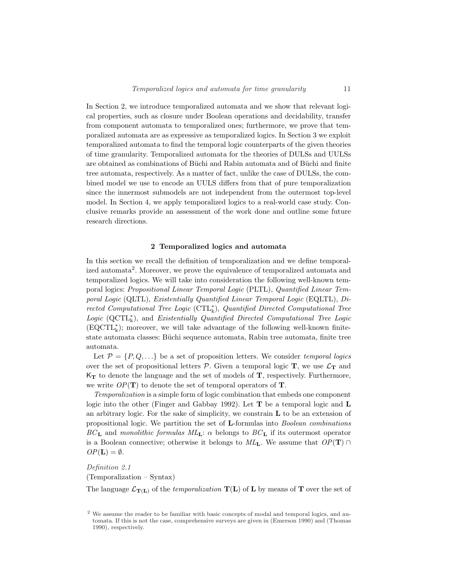In Section 2, we introduce temporalized automata and we show that relevant logical properties, such as closure under Boolean operations and decidability, transfer from component automata to temporalized ones; furthermore, we prove that temporalized automata are as expressive as temporalized logics. In Section 3 we exploit temporalized automata to find the temporal logic counterparts of the given theories of time granularity. Temporalized automata for the theories of DULSs and UULSs are obtained as combinations of Büchi and Rabin automata and of Büchi and finite tree automata, respectively. As a matter of fact, unlike the case of DULSs, the combined model we use to encode an UULS differs from that of pure temporalization since the innermost submodels are not independent from the outermost top-level model. In Section 4, we apply temporalized logics to a real-world case study. Conclusive remarks provide an assessment of the work done and outline some future research directions.

#### 2 Temporalized logics and automata

In this section we recall the definition of temporalization and we define temporalized automata<sup>2</sup>. Moreover, we prove the equivalence of temporalized automata and temporalized logics. We will take into consideration the following well-known temporal logics: Propositional Linear Temporal Logic (PLTL), Quantified Linear Temporal Logic (QLTL), Existentially Quantified Linear Temporal Logic (EQLTL), Directed Computational Tree Logic (CTL<sup>\*</sup><sub>k</sub>), Quantified Directed Computational Tree  $Logic \ (QCTL_k^*)$ , and Existentially Quantified Directed Computational Tree Logic (EQCTL<sup>∗</sup> k ); moreover, we will take advantage of the following well-known finitestate automata classes: Büchi sequence automata, Rabin tree automata, finite tree automata.

Let  $\mathcal{P} = \{P, Q, \ldots\}$  be a set of proposition letters. We consider temporal logics over the set of propositional letters  $P$ . Given a temporal logic **T**, we use  $\mathcal{L}_{T}$  and  $K_T$  to denote the language and the set of models of  $T$ , respectively. Furthermore, we write  $OP(\mathbf{T})$  to denote the set of temporal operators of  $\mathbf{T}$ .

Temporalization is a simple form of logic combination that embeds one component logic into the other (Finger and Gabbay 1992). Let T be a temporal logic and L an arbitrary logic. For the sake of simplicity, we constrain L to be an extension of propositional logic. We partition the set of L-formulas into Boolean combinations  $BC_{\mathbf{L}}$  and monolithic formulas  $ML_{\mathbf{L}}$ :  $\alpha$  belongs to  $BC_{\mathbf{L}}$  if its outermost operator is a Boolean connective; otherwise it belongs to  $ML<sub>L</sub>$ . We assume that  $OP(T) \cap$  $OP(\mathbf{L}) = \emptyset$ .

Definition 2.1

(Temporalization – Syntax)

The language  $\mathcal{L}_{\mathbf{T}(\mathbf{L})}$  of the *temporalization*  $\mathbf{T}(\mathbf{L})$  of  $\mathbf{L}$  by means of  $\mathbf{T}$  over the set of

<sup>&</sup>lt;sup>2</sup> We assume the reader to be familiar with basic concepts of modal and temporal logics, and automata. If this is not the case, comprehensive surveys are given in (Emerson 1990) and (Thomas 1990), respectively.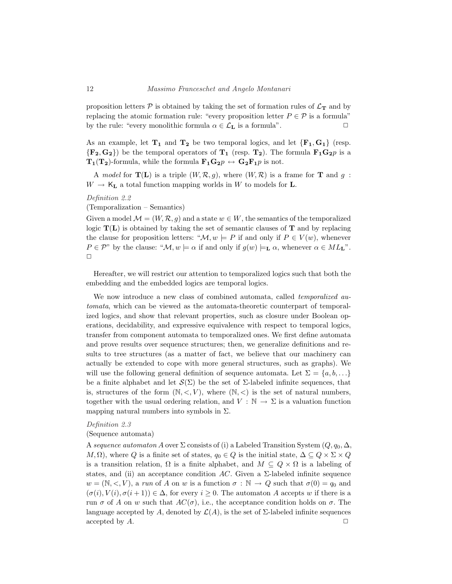proposition letters  $P$  is obtained by taking the set of formation rules of  $\mathcal{L}_{\mathbf{T}}$  and by replacing the atomic formation rule: "every proposition letter  $P \in \mathcal{P}$  is a formula" by the rule: "every monolithic formula  $\alpha \in \mathcal{L}_{\mathbf{L}}$  is a formula".

As an example, let  $T_1$  and  $T_2$  be two temporal logics, and let  ${F_1, G_1}$  (resp.  ${F_2, G_2}$  be the temporal operators of  $T_1$  (resp.  $T_2$ ). The formula  $F_1G_2p$  is a  $T_1(T_2)$ -formula, while the formula  $F_1G_2p \leftrightarrow G_2F_1p$  is not.

A model for  $\mathbf{T}(\mathbf{L})$  is a triple  $(W, \mathcal{R}, g)$ , where  $(W, \mathcal{R})$  is a frame for  $\mathbf{T}$  and  $g$ :  $W \to \mathsf{K}_L$  a total function mapping worlds in W to models for L.

#### Definition 2.2

(Temporalization – Semantics)

Given a model  $\mathcal{M} = (W, \mathcal{R}, g)$  and a state  $w \in W$ , the semantics of the temporalized logic  $T(L)$  is obtained by taking the set of semantic clauses of T and by replacing the clause for proposition letters: " $\mathcal{M}, w \models P$  if and only if  $P \in V(w)$ , whenever  $P \in \mathcal{P}$ " by the clause: " $\mathcal{M}, w \models \alpha$  if and only if  $g(w) \models_{\mathbf{L}} \alpha$ , whenever  $\alpha \in ML_{\mathbf{L}}$ ".  $\Box$ 

Hereafter, we will restrict our attention to temporalized logics such that both the embedding and the embedded logics are temporal logics.

We now introduce a new class of combined automata, called *temporalized au*tomata, which can be viewed as the automata-theoretic counterpart of temporalized logics, and show that relevant properties, such as closure under Boolean operations, decidability, and expressive equivalence with respect to temporal logics, transfer from component automata to temporalized ones. We first define automata and prove results over sequence structures; then, we generalize definitions and results to tree structures (as a matter of fact, we believe that our machinery can actually be extended to cope with more general structures, such as graphs). We will use the following general definition of sequence automata. Let  $\Sigma = \{a, b, \ldots\}$ be a finite alphabet and let  $\mathcal{S}(\Sigma)$  be the set of  $\Sigma$ -labeled infinite sequences, that is, structures of the form  $(N, \langle, V \rangle)$ , where  $(N, \langle)$  is the set of natural numbers, together with the usual ordering relation, and  $V : \mathbb{N} \to \Sigma$  is a valuation function mapping natural numbers into symbols in  $\Sigma$ .

## Definition 2.3

## (Sequence automata)

A sequence automaton A over  $\Sigma$  consists of (i) a Labeled Transition System  $(Q, q_0, \Delta,$  $M, \Omega$ , where Q is a finite set of states,  $q_0 \in Q$  is the initial state,  $\Delta \subseteq Q \times \Sigma \times Q$ is a transition relation,  $\Omega$  is a finite alphabet, and  $M \subseteq Q \times \Omega$  is a labeling of states, and (ii) an acceptance condition AC. Given a  $\Sigma$ -labeled infinite sequence  $w = (\mathbb{N}, \langle, V \rangle)$ , a run of A on w is a function  $\sigma : \mathbb{N} \to Q$  such that  $\sigma(0) = q_0$  and  $(\sigma(i), V(i), \sigma(i+1)) \in \Delta$ , for every  $i \geq 0$ . The automaton A accepts w if there is a run  $\sigma$  of A on w such that  $AC(\sigma)$ , i.e., the acceptance condition holds on  $\sigma$ . The language accepted by A, denoted by  $\mathcal{L}(A)$ , is the set of  $\Sigma$ -labeled infinite sequences accepted by  $A$ .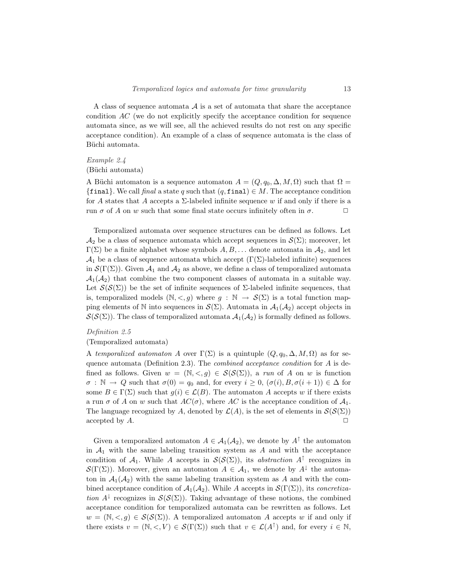A class of sequence automata  $\mathcal A$  is a set of automata that share the acceptance condition AC (we do not explicitly specify the acceptance condition for sequence automata since, as we will see, all the achieved results do not rest on any specific acceptance condition). An example of a class of sequence automata is the class of Büchi automata.

#### Example 2.4

#### (Büchi automata)

A Büchi automaton is a sequence automaton  $A = (Q, q_0, \Delta, M, \Omega)$  such that  $\Omega =$  ${\text{final}}$ . We call final a state q such that  $(q, \text{final}) \in M$ . The acceptance condition for A states that A accepts a  $\Sigma$ -labeled infinite sequence w if and only if there is a run  $\sigma$  of A on w such that some final state occurs infinitely often in  $\sigma$ .  $\Box$ 

Temporalized automata over sequence structures can be defined as follows. Let  $\mathcal{A}_2$  be a class of sequence automata which accept sequences in  $\mathcal{S}(\Sigma)$ ; moreover, let Γ(Σ) be a finite alphabet whose symbols  $A, B, \ldots$  denote automata in  $A_2$ , and let  $\mathcal{A}_1$  be a class of sequence automata which accept ( $\Gamma(\Sigma)$ -labeled infinite) sequences in  $\mathcal{S}(\Gamma(\Sigma))$ . Given  $\mathcal{A}_1$  and  $\mathcal{A}_2$  as above, we define a class of temporalized automata  $\mathcal{A}_1(\mathcal{A}_2)$  that combine the two component classes of automata in a suitable way. Let  $\mathcal{S}(\mathcal{S}(\Sigma))$  be the set of infinite sequences of  $\Sigma$ -labeled infinite sequences, that is, temporalized models  $(\mathbb{N}, \leq, g)$  where  $g : \mathbb{N} \to \mathcal{S}(\Sigma)$  is a total function mapping elements of N into sequences in  $\mathcal{S}(\Sigma)$ . Automata in  $\mathcal{A}_1(\mathcal{A}_2)$  accept objects in  $\mathcal{S}(\mathcal{S}(\Sigma))$ . The class of temporalized automata  $\mathcal{A}_1(\mathcal{A}_2)$  is formally defined as follows.

#### Definition 2.5

### (Temporalized automata)

A temporalized automaton A over  $\Gamma(\Sigma)$  is a quintuple  $(Q, q_0, \Delta, M, \Omega)$  as for sequence automata (Definition 2.3). The *combined acceptance condition* for  $A$  is defined as follows. Given  $w = (\mathbb{N}, \langle, g \rangle) \in \mathcal{S}(\mathcal{S}(\Sigma))$ , a run of A on w is function  $\sigma : \mathbb{N} \to Q$  such that  $\sigma(0) = q_0$  and, for every  $i \geq 0$ ,  $(\sigma(i), B, \sigma(i+1)) \in \Delta$  for some  $B \in \Gamma(\Sigma)$  such that  $g(i) \in \mathcal{L}(B)$ . The automaton A accepts w if there exists a run  $\sigma$  of A on w such that  $AC(\sigma)$ , where AC is the acceptance condition of  $A_1$ . The language recognized by A, denoted by  $\mathcal{L}(A)$ , is the set of elements in  $\mathcal{S}(\mathcal{S}(\Sigma))$ accepted by  $A$ .  $\Box$ 

Given a temporalized automaton  $A \in \mathcal{A}_1(\mathcal{A}_2)$ , we denote by  $A^{\uparrow}$  the automaton in  $A_1$  with the same labeling transition system as A and with the acceptance condition of  $\mathcal{A}_1$ . While A accepts in  $\mathcal{S}(\mathcal{S}(\Sigma))$ , its abstraction  $A^{\uparrow}$  recognizes in  $\mathcal{S}(\Gamma(\Sigma))$ . Moreover, given an automaton  $A \in \mathcal{A}_1$ , we denote by  $A^{\downarrow}$  the automaton in  $\mathcal{A}_1(\mathcal{A}_2)$  with the same labeling transition system as A and with the combined acceptance condition of  $\mathcal{A}_1(\mathcal{A}_2)$ . While A accepts in  $\mathcal{S}(\Gamma(\Sigma))$ , its concretization  $A^{\downarrow}$  recognizes in  $\mathcal{S}(\mathcal{S}(\Sigma))$ . Taking advantage of these notions, the combined acceptance condition for temporalized automata can be rewritten as follows. Let  $w = (\mathbb{N}, \leq, g) \in \mathcal{S}(\mathcal{S}(\Sigma))$ . A temporalized automaton A accepts w if and only if there exists  $v = (\mathbb{N}, \langle, V] \in \mathcal{S}(\Gamma(\Sigma))$  such that  $v \in \mathcal{L}(A^{\uparrow})$  and, for every  $i \in \mathbb{N}$ ,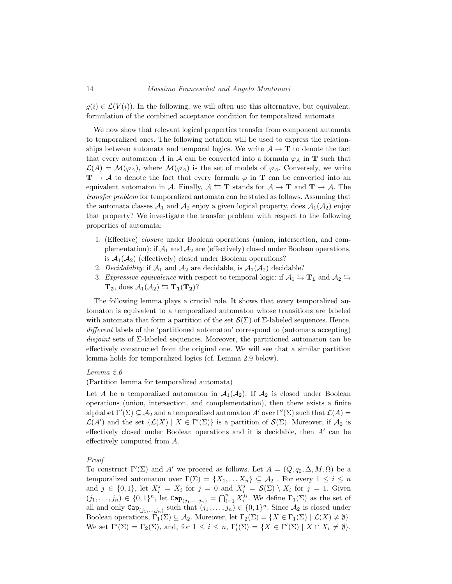## 14 Massimo Franceschet and Angelo Montanari

 $g(i) \in \mathcal{L}(V(i))$ . In the following, we will often use this alternative, but equivalent, formulation of the combined acceptance condition for temporalized automata.

We now show that relevant logical properties transfer from component automata to temporalized ones. The following notation will be used to express the relationships between automata and temporal logics. We write  $A \rightarrow T$  to denote the fact that every automaton A in A can be converted into a formula  $\varphi_A$  in **T** such that  $\mathcal{L}(A) = \mathcal{M}(\varphi_A)$ , where  $\mathcal{M}(\varphi_A)$  is the set of models of  $\varphi_A$ . Conversely, we write  $\mathbf{T} \to \mathcal{A}$  to denote the fact that every formula  $\varphi$  in  $\mathbf{T}$  can be converted into an equivalent automaton in A. Finally,  $A \nightharpoonup T$  stands for  $A \rightarrow T$  and  $T \rightarrow A$ . The transfer problem for temporalized automata can be stated as follows. Assuming that the automata classes  $A_1$  and  $A_2$  enjoy a given logical property, does  $A_1(A_2)$  enjoy that property? We investigate the transfer problem with respect to the following properties of automata:

- 1. (Effective) closure under Boolean operations (union, intersection, and complementation): if  $A_1$  and  $A_2$  are (effectively) closed under Boolean operations, is  $A_1(A_2)$  (effectively) closed under Boolean operations?
- 2. Decidability: if  $\mathcal{A}_1$  and  $\mathcal{A}_2$  are decidable, is  $\mathcal{A}_1(\mathcal{A}_2)$  decidable?
- 3. Expressive equivalence with respect to temporal logic: if  $\mathcal{A}_1 \leftrightarrows \mathbf{T}_1$  and  $\mathcal{A}_2 \leftrightarrows$  $\mathbf{T_2}$ , does  $\mathcal{A}_1(\mathcal{A}_2) \leftrightarrows \mathbf{T_1}(\mathbf{T_2})$ ?

The following lemma plays a crucial role. It shows that every temporalized automaton is equivalent to a temporalized automaton whose transitions are labeled with automata that form a partition of the set  $\mathcal{S}(\Sigma)$  of  $\Sigma$ -labeled sequences. Hence, different labels of the 'partitioned automaton' correspond to (automata accepting) disjoint sets of  $\Sigma$ -labeled sequences. Moreover, the partitioned automaton can be effectively constructed from the original one. We will see that a similar partition lemma holds for temporalized logics (cf. Lemma 2.9 below).

#### Lemma 2.6

(Partition lemma for temporalized automata)

Let A be a temporalized automator in  $\mathcal{A}_1(\mathcal{A}_2)$ . If  $\mathcal{A}_2$  is closed under Boolean operations (union, intersection, and complementation), then there exists a finite alphabet  $\Gamma'(\Sigma) \subseteq A_2$  and a temporalized automaton A' over  $\Gamma'(\Sigma)$  such that  $\mathcal{L}(A) =$  $\mathcal{L}(A')$  and the set  $\{\mathcal{L}(X) \mid X \in \Gamma'(\Sigma)\}\$ is a partition of  $\mathcal{S}(\Sigma)$ . Moreover, if  $\mathcal{A}_2$  is effectively closed under Boolean operations and it is decidable, then  $A'$  can be effectively computed from A.

#### Proof

To construct  $\Gamma'(\Sigma)$  and A' we proceed as follows. Let  $A = (Q, q_0, \Delta, M, \Omega)$  be a temporalized automaton over  $\Gamma(\Sigma) = \{X_1, \ldots X_n\} \subseteq A_2$ . For every  $1 \leq i \leq n$ and  $j \in \{0,1\}$ , let  $X_i^j = X_i$  for  $j = 0$  and  $X_i^j = \mathcal{S}(\Sigma) \setminus X_i$  for  $j = 1$ . Given and  $j \in \{0, 1\}$ , let  $\Lambda_i = \Lambda_i$  for  $j = 0$  and  $\Lambda_i = O(2) \setminus \Lambda_i$  for  $j = 1$ . Given  $(j_1, \ldots, j_n) \in \{0, 1\}^n$ , let  $\text{Cap}_{(j_1, \ldots, j_n)} = \bigcap_{i=1}^n X_i^{j_i}$ . We define  $\Gamma_1(\Sigma)$  as the set of all and only  $\text{Cap}_{(j_1,...,j_n)}$  such that  $(j_1,...,j_n) \in \{0,1\}^n$ . Since  $\mathcal{A}_2$  is closed under Boolean operations,  $\Gamma_1(\Sigma) \subseteq \mathcal{A}_2$ . Moreover, let  $\Gamma_2(\Sigma) = \{X \in \Gamma_1(\Sigma) \mid \mathcal{L}(X) \neq \emptyset\}.$ We set  $\Gamma'(\Sigma) = \Gamma_2(\Sigma)$ , and, for  $1 \leq i \leq n$ ,  $\Gamma'_i(\Sigma) = \{X \in \Gamma'(\Sigma) \mid X \cap X_i \neq \emptyset\}.$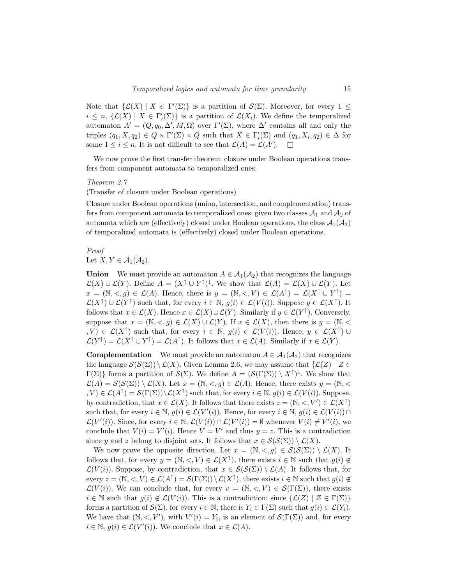Note that  $\{\mathcal{L}(X) \mid X \in \Gamma'(\Sigma)\}\$ is a partition of  $\mathcal{S}(\Sigma)$ . Moreover, for every  $1 \leq$  $i \leq n, \{ \mathcal{L}(X) \mid X \in \Gamma_i'(\Sigma) \}$  is a partition of  $\mathcal{L}(X_i)$ . We define the temporalized automaton  $A' = (Q, q_0, \Delta', M, \Omega)$  over  $\Gamma'(\Sigma)$ , where  $\Delta'$  contains all and only the triples  $(q_1, X, q_2) \in Q \times \Gamma'(\Sigma) \times Q$  such that  $X \in \Gamma'_i(\Sigma)$  and  $(q_1, X_i, q_2) \in \Delta$  for some  $1 \leq i \leq n$ . It is not difficult to see that  $\mathcal{L}(A) = \mathcal{L}(A')$ .

We now prove the first transfer theorem: closure under Boolean operations transfers from component automata to temporalized ones.

## Theorem 2.7

(Transfer of closure under Boolean operations)

Closure under Boolean operations (union, intersection, and complementation) transfers from component automata to temporalized ones: given two classes  $\mathcal{A}_1$  and  $\mathcal{A}_2$  of automata which are (effectively) closed under Boolean operations, the class  $A_1(A_2)$ of temporalized automata is (effectively) closed under Boolean operations.

Proof

Let  $X, Y \in \mathcal{A}_1(\mathcal{A}_2)$ .

**Union** We must provide an automaton  $A \in \mathcal{A}_1(\mathcal{A}_2)$  that recognizes the language  $\mathcal{L}(X) \cup \mathcal{L}(Y)$ . Define  $A = (X^{\uparrow} \cup Y^{\uparrow})^{\downarrow}$ . We show that  $\mathcal{L}(A) = \mathcal{L}(X) \cup \mathcal{L}(Y)$ . Let  $x = (\mathbb{N}, \leq, g) \in \mathcal{L}(A)$ . Hence, there is  $y = (\mathbb{N}, \leq, V) \in \mathcal{L}(A^{\uparrow}) = \mathcal{L}(X^{\uparrow} \cup Y^{\uparrow}) =$  $\mathcal{L}(X^{\uparrow}) \cup \mathcal{L}(Y^{\uparrow})$  such that, for every  $i \in \mathbb{N}$ ,  $g(i) \in \mathcal{L}(V(i))$ . Suppose  $y \in \mathcal{L}(X^{\uparrow})$ . It follows that  $x \in \mathcal{L}(X)$ . Hence  $x \in \mathcal{L}(X) \cup \mathcal{L}(Y)$ . Similarly if  $y \in \mathcal{L}(Y^{\uparrow})$ . Conversely, suppose that  $x = (\mathbb{N}, \leq, g) \in \mathcal{L}(X) \cup \mathcal{L}(Y)$ . If  $x \in \mathcal{L}(X)$ , then there is  $y = (\mathbb{N}, \leq, g)$  $(V) \in \mathcal{L}(X^{\uparrow})$  such that, for every  $i \in \mathbb{N}$ ,  $g(i) \in \mathcal{L}(V(i))$ . Hence,  $y \in \mathcal{L}(X^{\uparrow}) \cup$  $\mathcal{L}(Y^{\uparrow}) = \mathcal{L}(X^{\uparrow} \cup Y^{\uparrow}) = \mathcal{L}(A^{\uparrow})$ . It follows that  $x \in \mathcal{L}(A)$ . Similarly if  $x \in \mathcal{L}(Y)$ .

**Complementation** We must provide an automaton  $A \in \mathcal{A}_1(\mathcal{A}_2)$  that recognizes the language  $\mathcal{S}(\mathcal{S}(\Sigma)) \setminus \mathcal{L}(X)$ . Given Lemma 2.6, we may assume that  $\{\mathcal{L}(Z) \mid Z \in$  $\Gamma(\Sigma)$  forms a partition of  $\mathcal{S}(\Sigma)$ . We define  $A = (\mathcal{S}(\Gamma(\Sigma)) \setminus X^{\uparrow})^{\downarrow}$ . We show that  $\mathcal{L}(A) = \mathcal{S}(\mathcal{S}(\Sigma)) \setminus \mathcal{L}(X)$ . Let  $x = (\mathbb{N}, \langle, g \rangle) \in \mathcal{L}(A)$ . Hence, there exists  $y = (\mathbb{N}, \langle, g \rangle)$ .  $(X, V) \in \mathcal{L}(A^{\uparrow}) = \mathcal{S}(\Gamma(\Sigma)) \backslash \mathcal{L}(X^{\uparrow})$  such that, for every  $i \in \mathbb{N}, g(i) \in \mathcal{L}(V(i))$ . Suppose, by contradiction, that  $x \in \mathcal{L}(X)$ . It follows that there exists  $z = (\mathbb{N}, \langle, V' \rangle) \in \mathcal{L}(X^{\uparrow})$ such that, for every  $i \in \mathbb{N}$ ,  $g(i) \in \mathcal{L}(V'(i))$ . Hence, for every  $i \in \mathbb{N}$ ,  $g(i) \in \mathcal{L}(V(i)) \cap$  $\mathcal{L}(V'(i))$ . Since, for every  $i \in \mathbb{N}$ ,  $\mathcal{L}(V(i)) \cap \mathcal{L}(V'(i)) = \emptyset$  whenever  $V(i) \neq V'(i)$ , we conclude that  $V(i) = V'(i)$ . Hence  $V = V'$  and thus  $y = z$ . This is a contradiction since y and z belong to disjoint sets. It follows that  $x \in \mathcal{S}(\mathcal{S}(\Sigma)) \setminus \mathcal{L}(X)$ .

We now prove the opposite direction. Let  $x = (\mathbb{N}, \langle, g) \in \mathcal{S}(\mathcal{S}(\Sigma)) \setminus \mathcal{L}(X)$ . It follows that, for every  $y = (\mathbb{N}, \langle, V \rangle \in \mathcal{L}(X^{\uparrow})$ , there exists  $i \in \mathbb{N}$  such that  $g(i) \notin$  $\mathcal{L}(V(i))$ . Suppose, by contradiction, that  $x \in \mathcal{S}(\mathcal{S}(\Sigma)) \setminus \mathcal{L}(A)$ . It follows that, for every  $z = (\mathbb{N}, \langle, V \rangle \in \mathcal{L}(A^{\uparrow}) = \mathcal{S}(\Gamma(\Sigma)) \setminus \mathcal{L}(X^{\uparrow})$ , there exists  $i \in \mathbb{N}$  such that  $g(i) \notin$  $\mathcal{L}(V(i))$ . We can conclude that, for every  $v = (\mathbb{N}, \langle, V \rangle \in \mathcal{S}(\Gamma(\Sigma))$ , there exists  $i \in \mathbb{N}$  such that  $g(i) \notin \mathcal{L}(V(i))$ . This is a contradiction: since  $\{\mathcal{L}(Z) \mid Z \in \Gamma(\Sigma)\}\$ forms a partition of  $\mathcal{S}(\Sigma)$ , for every  $i \in \mathbb{N}$ , there is  $Y_i \in \Gamma(\Sigma)$  such that  $g(i) \in \mathcal{L}(Y_i)$ . We have that  $(N, <, V')$ , with  $V'(i) = Y_i$ , is an element of  $\mathcal{S}(\Gamma(\Sigma))$  and, for every  $i \in \mathbb{N}, g(i) \in \mathcal{L}(V'(i)).$  We conclude that  $x \in \mathcal{L}(A)$ .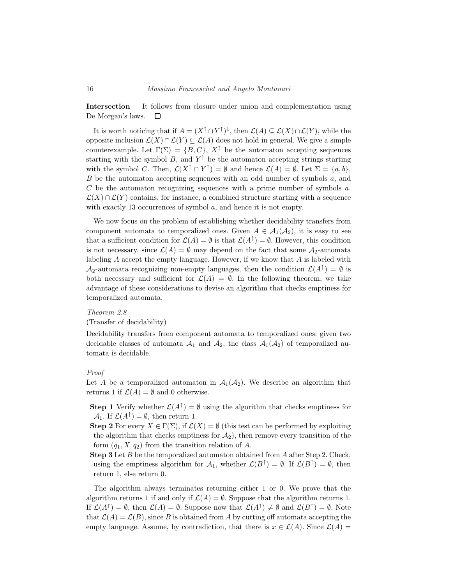Intersection It follows from closure under union and complementation using De Morgan's laws.  $\Box$ 

It is worth noticing that if  $A = (X^{\uparrow} \cap Y^{\uparrow})^{\downarrow}$ , then  $\mathcal{L}(A) \subseteq \mathcal{L}(X) \cap \mathcal{L}(Y)$ , while the opposite inclusion  $\mathcal{L}(X) \cap \mathcal{L}(Y) \subseteq \mathcal{L}(A)$  does not hold in general. We give a simple counterexample. Let  $\Gamma(\Sigma) = \{B, C\}, X^{\dagger}$  be the automaton accepting sequences starting with the symbol  $B$ , and  $Y^{\dagger}$  be the automaton accepting strings starting with the symbol C. Then,  $\mathcal{L}(X^{\uparrow} \cap Y^{\uparrow}) = \emptyset$  and hence  $\mathcal{L}(A) = \emptyset$ . Let  $\Sigma = \{a, b\}$ , B be the automaton accepting sequences with an odd number of symbols a, and  $C$  be the automaton recognizing sequences with a prime number of symbols  $a$ .  $\mathcal{L}(X) \cap \mathcal{L}(Y)$  contains, for instance, a combined structure starting with a sequence with exactly 13 occurrences of symbol  $a$ , and hence it is not empty.

We now focus on the problem of establishing whether decidability transfers from component automata to temporalized ones. Given  $A \in \mathcal{A}_1(\mathcal{A}_2)$ , it is easy to see that a sufficient condition for  $\mathcal{L}(A) = \emptyset$  is that  $\mathcal{L}(A^{\uparrow}) = \emptyset$ . However, this condition is not necessary, since  $\mathcal{L}(A) = \emptyset$  may depend on the fact that some  $\mathcal{A}_2$ -automata labeling  $A$  accept the empty language. However, if we know that  $A$  is labeled with  $\mathcal{A}_2$ -automata recognizing non-empty languages, then the condition  $\mathcal{L}(A^{\uparrow}) = \emptyset$  is both necessary and sufficient for  $\mathcal{L}(A) = \emptyset$ . In the following theorem, we take advantage of these considerations to devise an algorithm that checks emptiness for temporalized automata.

#### Theorem 2.8

#### (Transfer of decidability)

Decidability transfers from component automata to temporalized ones: given two decidable classes of automata  $A_1$  and  $A_2$ , the class  $A_1(A_2)$  of temporalized automata is decidable.

#### Proof

Let A be a temporalized automator in  $\mathcal{A}_1(\mathcal{A}_2)$ . We describe an algorithm that returns 1 if  $\mathcal{L}(A) = \emptyset$  and 0 otherwise.

- **Step 1** Verify whether  $\mathcal{L}(A^{\dagger}) = \emptyset$  using the algorithm that checks emptiness for  $\mathcal{A}_1$ . If  $\mathcal{L}(A^{\uparrow}) = \emptyset$ , then return 1.
- **Step 2** For every  $X \in \Gamma(\Sigma)$ , if  $\mathcal{L}(X) = \emptyset$  (this test can be performed by exploiting the algorithm that checks emptiness for  $\mathcal{A}_2$ , then remove every transition of the form  $(q_1, X, q_2)$  from the transition relation of A.
- **Step 3** Let B be the temporalized automaton obtained from A after Step 2. Check, using the emptiness algorithm for  $\mathcal{A}_1$ , whether  $\mathcal{L}(B^{\uparrow}) = \emptyset$ . If  $\mathcal{L}(B^{\uparrow}) = \emptyset$ , then return 1, else return 0.

The algorithm always terminates returning either 1 or 0. We prove that the algorithm returns 1 if and only if  $\mathcal{L}(A) = \emptyset$ . Suppose that the algorithm returns 1. If  $\mathcal{L}(A^{\uparrow}) = \emptyset$ , then  $\mathcal{L}(A) = \emptyset$ . Suppose now that  $\mathcal{L}(A^{\uparrow}) \neq \emptyset$  and  $\mathcal{L}(B^{\uparrow}) = \emptyset$ . Note that  $\mathcal{L}(A) = \mathcal{L}(B)$ , since B is obtained from A by cutting off automata accepting the empty language. Assume, by contradiction, that there is  $x \in \mathcal{L}(A)$ . Since  $\mathcal{L}(A)$  =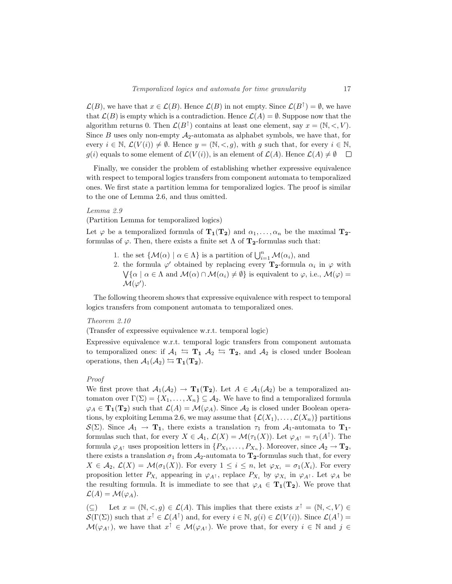$\mathcal{L}(B)$ , we have that  $x \in \mathcal{L}(B)$ . Hence  $\mathcal{L}(B)$  in not empty. Since  $\mathcal{L}(B^{\uparrow}) = \emptyset$ , we have that  $\mathcal{L}(B)$  is empty which is a contradiction. Hence  $\mathcal{L}(A) = \emptyset$ . Suppose now that the algorithm returns 0. Then  $\mathcal{L}(B^{\uparrow})$  contains at least one element, say  $x = (\mathbb{N}, \langle, V \rangle)$ . Since B uses only non-empty  $A_2$ -automata as alphabet symbols, we have that, for every  $i \in \mathbb{N}, \mathcal{L}(V(i)) \neq \emptyset$ . Hence  $y = (\mathbb{N}, \langle , g \rangle)$ , with g such that, for every  $i \in \mathbb{N}$ ,  $g(i)$  equals to some element of  $\mathcal{L}(V(i))$ , is an element of  $\mathcal{L}(A)$ . Hence  $\mathcal{L}(A) \neq \emptyset$   $\square$ 

Finally, we consider the problem of establishing whether expressive equivalence with respect to temporal logics transfers from component automata to temporalized ones. We first state a partition lemma for temporalized logics. The proof is similar to the one of Lemma 2.6, and thus omitted.

## Lemma 2.9

(Partition Lemma for temporalized logics)

Let  $\varphi$  be a temporalized formula of  $T_1(T_2)$  and  $\alpha_1, \ldots, \alpha_n$  be the maximal  $T_2$ formulas of  $\varphi$ . Then, there exists a finite set  $\Lambda$  of  $\mathbf{T_2}$ -formulas such that:

- 1. the set  $\{\mathcal{M}(\alpha) \mid \alpha \in \Lambda\}$  is a partition of  $\bigcup_{i=1}^{n} \mathcal{M}(\alpha_i)$ , and
- 2. the formula  $\varphi'$  obtained by replacing every  $\mathbf{T}_2$ -formula  $\alpha_i$  in  $\varphi$  with  $\bigvee {\alpha \mid \alpha \in \Lambda \text{ and } \mathcal{M}(\alpha) \cap \mathcal{M}(\alpha_i) \neq \emptyset}$  is equivalent to  $\varphi$ , i.e.,  $\mathcal{M}(\varphi) =$  $\mathcal{M}(\varphi')$ .

The following theorem shows that expressive equivalence with respect to temporal logics transfers from component automata to temporalized ones.

## Theorem 2.10

(Transfer of expressive equivalence w.r.t. temporal logic)

Expressive equivalence w.r.t. temporal logic transfers from component automata to temporalized ones: if  $A_1 \nightharpoonup T_1$   $A_2 \nightharpoonup T_2$ , and  $A_2$  is closed under Boolean operations, then  $\mathcal{A}_1(\mathcal{A}_2) \leftrightarrows \mathbf{T_1}(\mathbf{T_2}).$ 

## Proof

We first prove that  $A_1(A_2) \to {\bf T_1(T_2)}$ . Let  $A \in A_1(A_2)$  be a temporalized automaton over  $\Gamma(\Sigma) = \{X_1, \ldots, X_n\} \subseteq A_2$ . We have to find a temporalized formula  $\varphi_A \in {\bf T_1(T_2)}$  such that  $\mathcal{L}(A) = \mathcal{M}(\varphi_A)$ . Since  $\mathcal{A}_2$  is closed under Boolean operations, by exploiting Lemma 2.6, we may assume that  $\{\mathcal{L}(X_1), \ldots, \mathcal{L}(X_n)\}\)$  partitions  $\mathcal{S}(\Sigma)$ . Since  $\mathcal{A}_1 \to \mathbf{T}_1$ , there exists a translation  $\tau_1$  from  $\mathcal{A}_1$ -automata to  $\mathbf{T}_1$ formulas such that, for every  $X \in \mathcal{A}_1$ ,  $\mathcal{L}(X) = \mathcal{M}(\tau_1(X))$ . Let  $\varphi_{A^\uparrow} = \tau_1(A^\uparrow)$ . The formula  $\varphi_{A}$ <sup>†</sup> uses proposition letters in  $\{P_{X_1}, \ldots, P_{X_n}\}$ . Moreover, since  $\mathcal{A}_2 \to \mathbf{T_2}$ , there exists a translation  $\sigma_1$  from  $A_2$ -automata to  $T_2$ -formulas such that, for every  $X \in \mathcal{A}_2$ ,  $\mathcal{L}(X) = \mathcal{M}(\sigma_1(X))$ . For every  $1 \leq i \leq n$ , let  $\varphi_{X_i} = \sigma_1(X_i)$ . For every proposition letter  $P_{X_i}$  appearing in  $\varphi_{A^{\uparrow}}$ , replace  $P_{X_i}$  by  $\varphi_{X_i}$  in  $\varphi_{A^{\uparrow}}$ . Let  $\varphi_A$  be the resulting formula. It is immediate to see that  $\varphi_A \in {\bf T}_1({\bf T}_2)$ . We prove that  $\mathcal{L}(A) = \mathcal{M}(\varphi_A).$ 

 $(\subseteq)$  Let  $x = (\mathbb{N}, \leq, g) \in \mathcal{L}(A)$ . This implies that there exists  $x^{\uparrow} = (\mathbb{N}, \leq, V) \in$  $\mathcal{S}(\Gamma(\Sigma))$  such that  $x^{\uparrow} \in \mathcal{L}(A^{\uparrow})$  and, for every  $i \in \mathbb{N}$ ,  $g(i) \in \mathcal{L}(V(i))$ . Since  $\mathcal{L}(A^{\uparrow})$  $\mathcal{M}(\varphi_{A\uparrow})$ , we have that  $x^{\uparrow} \in \mathcal{M}(\varphi_{A\uparrow})$ . We prove that, for every  $i \in \mathbb{N}$  and  $j \in$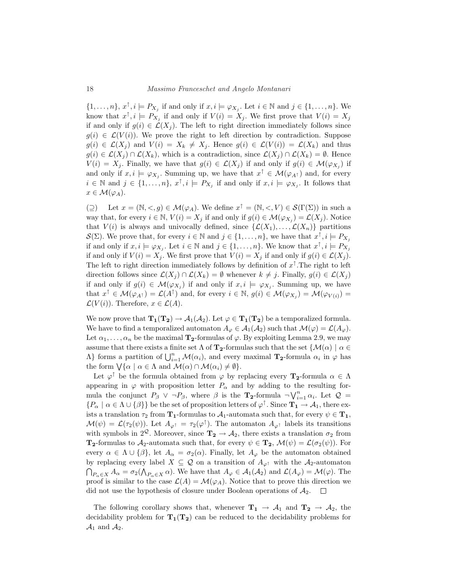$\{1,\ldots,n\}, x^{\uparrow}, i \models P_{X_j}$  if and only if  $x, i \models \varphi_{X_j}$ . Let  $i \in \mathbb{N}$  and  $j \in \{1,\ldots,n\}$ . We know that  $x^{\uparrow}$ ,  $i \models P_{X_j}$  if and only if  $V(i) = X_j$ . We first prove that  $V(i) = X_j$ if and only if  $g(i) \in \mathcal{L}(X_i)$ . The left to right direction immediately follows since  $g(i) \in \mathcal{L}(V(i))$ . We prove the right to left direction by contradiction. Suppose  $g(i) \in \mathcal{L}(X_i)$  and  $V(i) = X_k \neq X_j$ . Hence  $g(i) \in \mathcal{L}(V(i)) = \mathcal{L}(X_k)$  and thus  $g(i) \in \mathcal{L}(X_i) \cap \mathcal{L}(X_k)$ , which is a contradiction, since  $\mathcal{L}(X_i) \cap \mathcal{L}(X_k) = \emptyset$ . Hence  $V(i) = X_j$ . Finally, we have that  $g(i) \in \mathcal{L}(X_j)$  if and only if  $g(i) \in \mathcal{M}(\varphi_{X_j})$  if and only if  $x, i \models \varphi_{X_i}$ . Summing up, we have that  $x^{\uparrow} \in \mathcal{M}(\varphi_{A^{\uparrow}})$  and, for every  $i \in \mathbb{N}$  and  $j \in \{1, ..., n\}, x^{\uparrow}, i \models P_{X_j}$  if and only if  $x, i \models \varphi_{X_j}$ . It follows that  $x \in \mathcal{M}(\varphi_A)$ .

(2) Let  $x = (\mathbb{N}, <, g) \in \mathcal{M}(\varphi_A)$ . We define  $x^{\uparrow} = (\mathbb{N}, <, V) \in \mathcal{S}(\Gamma(\Sigma))$  in such a way that, for every  $i \in \mathbb{N}$ ,  $V(i) = X_j$  if and only if  $g(i) \in \mathcal{M}(\varphi_{X_j}) = \mathcal{L}(X_j)$ . Notice that  $V(i)$  is always and univocally defined, since  $\{\mathcal{L}(X_1), \ldots, \mathcal{L}(X_n)\}\)$  partitions S( $\Sigma$ ). We prove that, for every  $i \in \mathbb{N}$  and  $j \in \{1, \ldots, n\}$ , we have that  $x^{\uparrow}, i \models P_{X_j}$ if and only if  $x, i \models \varphi_{X_i}$ . Let  $i \in \mathbb{N}$  and  $j \in \{1, ..., n\}$ . We know that  $x^{\uparrow}, i \models P_{X_i}$ if and only if  $V(i) = X_i$ . We first prove that  $V(i) = X_i$  if and only if  $g(i) \in \mathcal{L}(X_i)$ . The left to right direction immediately follows by definition of  $x^{\uparrow}$ . The right to left direction follows since  $\mathcal{L}(X_j) \cap \mathcal{L}(X_k) = \emptyset$  whenever  $k \neq j$ . Finally,  $g(i) \in \mathcal{L}(X_j)$ if and only if  $g(i) \in \mathcal{M}(\varphi_{X_i})$  if and only if  $x, i \models \varphi_{X_i}$ . Summing up, we have that  $x^{\uparrow} \in \mathcal{M}(\varphi_{A^{\uparrow}}) = \mathcal{L}(A^{\uparrow})$  and, for every  $i \in \mathbb{N}$ ,  $g(i) \in \mathcal{M}(\varphi_{X_i}) = \mathcal{M}(\varphi_{V(i)}) =$  $\mathcal{L}(V(i))$ . Therefore,  $x \in \mathcal{L}(A)$ .

We now prove that  $T_1(T_2) \to \mathcal{A}_1(\mathcal{A}_2)$ . Let  $\varphi \in T_1(T_2)$  be a temporalized formula. We have to find a temporalized automaton  $A_{\varphi} \in \mathcal{A}_{1}(\mathcal{A}_{2})$  such that  $\mathcal{M}(\varphi) = \mathcal{L}(A_{\varphi})$ . Let  $\alpha_1, \ldots, \alpha_n$  be the maximal  $\mathbf{T}_2$ -formulas of  $\varphi$ . By exploiting Lemma 2.9, we may assume that there exists a finite set  $\Lambda$  of  $\mathbf{T}_2$ -formulas such that the set  $\{\mathcal{M}(\alpha) \mid \alpha \in \Lambda\}$ assume that there exists a limite set A or  $\mathbf{1}_2$ -formulas such that the set  $\{\mathcal{M}(\alpha)\mid \alpha \in \Lambda\}$  forms a partition of  $\bigcup_{i=1}^n \mathcal{M}(\alpha_i)$ , and every maximal  $\mathbf{T}_2$ -formula  $\alpha_i$  in  $\varphi$  has the form  $\bigvee {\{\alpha \mid \alpha \in \Lambda \text{ and } \mathcal{M}(\alpha) \cap \mathcal{M}(\alpha_i) \neq \emptyset\}}.$ 

Let  $\varphi^{\uparrow}$  be the formula obtained from  $\varphi$  by replacing every  $\mathbf{T_2}$ -formula  $\alpha \in \Lambda$ appearing in  $\varphi$  with proposition letter  $P_{\alpha}$  and by adding to the resulting for-<br>with the conjunct  $P_{\alpha}$  is the  $\alpha$  formula  $\chi_1^n$  and  $\chi_2$ . mula the conjunct  $P_{\beta} \vee \neg P_{\beta}$ , where  $\beta$  is the  $\mathbf{T_2}$ -formula  $\neg \bigvee_{i=1}^{n} \alpha_i$ . Let  $\mathcal{Q} =$  ${P_\alpha \mid \alpha \in \Lambda \cup \{\beta\}\}\$ be the set of proposition letters of  $\varphi^\uparrow$ . Since  $\mathbf{T_1} \to \mathcal{A}_1$ , there exists a translation  $\tau_2$  from  $\mathbf{T}_1$ -formulas to  $\mathcal{A}_1$ -automata such that, for every  $\psi \in \mathbf{T}_1$ ,  $\mathcal{M}(\psi) = \mathcal{L}(\tau_2(\psi))$ . Let  $A_{\varphi^{\uparrow}} = \tau_2(\varphi^{\uparrow})$ . The automaton  $A_{\varphi^{\uparrow}}$  labels its transitions with symbols in  $2^{\mathcal{Q}}$ . Moreover, since  $T_2 \rightarrow A_2$ , there exists a translation  $\sigma_2$  from  $T_2$ -formulas to  $\mathcal{A}_2$ -automata such that, for every  $\psi \in T_2$ ,  $\mathcal{M}(\psi) = \mathcal{L}(\sigma_2(\psi))$ . For every  $\alpha \in \Lambda \cup \{\beta\}$ , let  $A_{\alpha} = \sigma_2(\alpha)$ . Finally, let  $A_{\varphi}$  be the automaton obtained by replacing every label  $X \subseteq \mathcal{Q}$  on a transition of  $A_{\varphi}$ <sup>†</sup> with the  $A_2$ -automaton  $P_{\alpha} \in X A_{\alpha} = \sigma_2(\bigwedge_{P_{\alpha} \in X} \alpha)$ . We have that  $A_{\varphi} \in A_1(A_2)$  and  $\mathcal{L}(A_{\varphi}) = \mathcal{M}(\varphi)$ . The proof is similar to the case  $\mathcal{L}(A) = \mathcal{M}(\varphi_A)$ . Notice that to prove this direction we did not use the hypothesis of closure under Boolean operations of  $A_2$ .  $\Box$ 

The following corollary shows that, whenever  $T_1 \rightarrow A_1$  and  $T_2 \rightarrow A_2$ , the decidability problem for  $T_1(T_2)$  can be reduced to the decidability problems for  $\mathcal{A}_1$  and  $\mathcal{A}_2$ .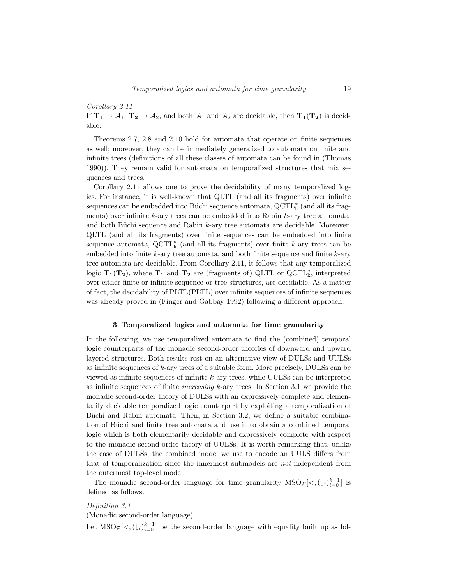Corollary 2.11

If  $T_1 \rightarrow A_1$ ,  $T_2 \rightarrow A_2$ , and both  $A_1$  and  $A_2$  are decidable, then  $T_1(T_2)$  is decidable.

Theorems 2.7, 2.8 and 2.10 hold for automata that operate on finite sequences as well; moreover, they can be immediately generalized to automata on finite and infinite trees (definitions of all these classes of automata can be found in (Thomas 1990)). They remain valid for automata on temporalized structures that mix sequences and trees.

Corollary 2.11 allows one to prove the decidability of many temporalized logics. For instance, it is well-known that QLTL (and all its fragments) over infinite sequences can be embedded into Büchi sequence automata,  $\mathrm{QCTL}_k^*$  (and all its fragments) over infinite  $k$ -ary trees can be embedded into Rabin  $k$ -ary tree automata, and both Büchi sequence and Rabin  $k$ -ary tree automata are decidable. Moreover, QLTL (and all its fragments) over finite sequences can be embedded into finite sequence automata,  $\mathrm{QCTL}_k^*$  (and all its fragments) over finite k-ary trees can be embedded into finite k-ary tree automata, and both finite sequence and finite k-ary tree automata are decidable. From Corollary 2.11, it follows that any temporalized logic  $T_1(T_2)$ , where  $T_1$  and  $T_2$  are (fragments of) QLTL or QCTL<sup>\*</sup><sub>k</sub>, interpreted over either finite or infinite sequence or tree structures, are decidable. As a matter of fact, the decidability of PLTL(PLTL) over infinite sequences of infinite sequences was already proved in (Finger and Gabbay 1992) following a different approach.

## 3 Temporalized logics and automata for time granularity

In the following, we use temporalized automata to find the (combined) temporal logic counterparts of the monadic second-order theories of downward and upward layered structures. Both results rest on an alternative view of DULSs and UULSs as infinite sequences of k-ary trees of a suitable form. More precisely, DULSs can be viewed as infinite sequences of infinite k-ary trees, while UULSs can be interpreted as infinite sequences of finite increasing k-ary trees. In Section 3.1 we provide the monadic second-order theory of DULSs with an expressively complete and elementarily decidable temporalized logic counterpart by exploiting a temporalization of Büchi and Rabin automata. Then, in Section 3.2, we define a suitable combination of Büchi and finite tree automata and use it to obtain a combined temporal logic which is both elementarily decidable and expressively complete with respect to the monadic second-order theory of UULSs. It is worth remarking that, unlike the case of DULSs, the combined model we use to encode an UULS differs from that of temporalization since the innermost submodels are not independent from the outermost top-level model.

The monadic second-order language for time granularity  $MSO_{\mathcal{P}}[\langle , (1_i)_{i=0}^{k-1}]$  is defined as follows.

### Definition 3.1

(Monadic second-order language)

Let  $\text{MSO}_{\mathcal{P}}[\langle ,(\downarrow_i)_{i=0}^{k-1}]$  be the second-order language with equality built up as fol-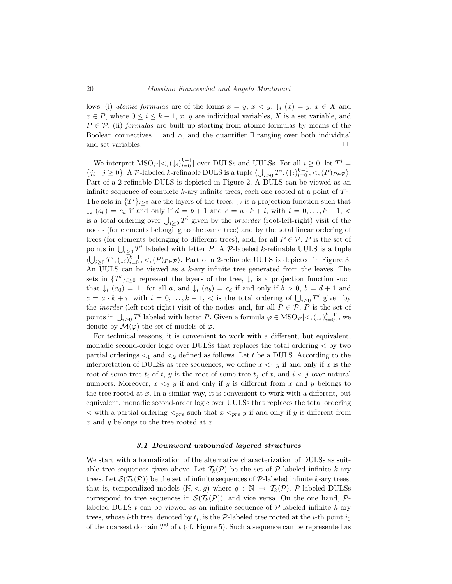lows: (i) atomic formulas are of the forms  $x = y$ ,  $x < y$ ,  $\downarrow_i (x) = y$ ,  $x \in X$  and  $x \in P$ , where  $0 \leq i \leq k-1$ , x, y are individual variables, X is a set variable, and  $P \in \mathcal{P}$ ; (ii) formulas are built up starting from atomic formulas by means of the Boolean connectives  $\neg$  and  $\wedge$ , and the quantifier  $\exists$  ranging over both individual and set variables.  $\Box$ 

We interpret  $\text{MSO}_\mathcal{P}[\langle ,(\downarrow_i)_{i=0}^{k-1}]$  over DULSs and UULSs. For all  $i \geq 0$ , let  $T^i =$  $\{j_i \mid j \geq 0\}$ . A P-labeled k-refinable DULS is a tuple  $\langle \bigcup_{i \geq 0} T^i, (\downarrow_i)_{i=0}^{k-1}, \langle , (P)_{P \in \mathcal{P}} \rangle$ . Part of a 2-refinable DULS is depicted in Figure 2. A DULS can be viewed as an infinite sequence of complete k-ary infinite trees, each one rooted at a point of  $T^0$ . The sets in  $\{T^i\}_{i\geq 0}$  are the layers of the trees,  $\downarrow_i$  is a projection function such that  $\downarrow_i$   $(a_b) = c_d$  if and only if  $d = b + 1$  and  $c = a \cdot k + i$ , with  $i = 0, \ldots, k - 1,$ is a total ordering over  $\bigcup_{i\geq 0} T^i$  given by the *preorder* (root-left-right) visit of the nodes (for elements belonging to the same tree) and by the total linear ordering of trees (for elements belonging to different trees), and, for all  $P \in \mathcal{P}$ , P is the set of points in  $\bigcup_{i\geq 0} T^i$  labeled with letter P. A P-labeled k-refinable UULS is a tuple مبر<br>( |)  $_{i\geq0}T^i$ ,  $(1_i)_{i=0}^{k-1}$ ,  $\lt$ ,  $(P)_{P\in\mathcal{P}}$ . Part of a 2-refinable UULS is depicted in Figure 3. An UULS can be viewed as a  $k$ -ary infinite tree generated from the leaves. The sets in  $\{T^i\}_{i\geq 0}$  represent the layers of the tree,  $\downarrow_i$  is a projection function such that  $\downarrow_i$   $(a_0) = \perp$ , for all a, and  $\downarrow_i$   $(a_b) = c_d$  if and only if  $b > 0$ ,  $b = d + 1$  and c =  $a \cdot k + i$ , with  $i = 0, ..., k - 1$ ,  $\lt$  is the total ordering of  $\bigcup_{i \geq 0} T^i$  given by the *inorder* (left-root-right) visit of the nodes, and, for all  $P \in \mathcal{P}$ , P is the set of between the model (tender of the modes) and, for an  $I \in \mathcal{F}$ , it is the set of points in  $\bigcup_{i \geq 0} T^i$  labeled with letter P. Given a formula  $\varphi \in \text{MSO}_{\mathcal{P}}[\langle , (f_i)_{i=0}^{k-1} ]$ , we denote by  $\mathcal{M}(\varphi)$  the set of models of  $\varphi$ .

For technical reasons, it is convenient to work with a different, but equivalent, monadic second-order logic over DULSs that replaces the total ordering  $\lt$  by two partial orderings  $\leq_1$  and  $\leq_2$  defined as follows. Let t be a DULS. According to the interpretation of DULSs as tree sequences, we define  $x \leq_1 y$  if and only if x is the root of some tree  $t_i$  of  $t, y$  is the root of some tree  $t_j$  of  $t$ , and  $i < j$  over natural numbers. Moreover,  $x \leq_2 y$  if and only if y is different from x and y belongs to the tree rooted at  $x$ . In a similar way, it is convenient to work with a different, but equivalent, monadic second-order logic over UULSs that replaces the total ordering  $\langle$  with a partial ordering  $\langle_{pre}$  such that  $x \langle_{pre} y$  if and only if y is different from  $x$  and  $y$  belongs to the tree rooted at  $x$ .

## 3.1 Downward unbounded layered structures

We start with a formalization of the alternative characterization of DULSs as suitable tree sequences given above. Let  $\mathcal{T}_k(\mathcal{P})$  be the set of P-labeled infinite k-ary trees. Let  $\mathcal{S}(\mathcal{T}_k(\mathcal{P}))$  be the set of infinite sequences of P-labeled infinite k-ary trees, that is, temporalized models  $(N, <, g)$  where  $g : N \to T_k(\mathcal{P})$ . P-labeled DULSs correspond to tree sequences in  $\mathcal{S}(\mathcal{T}_{k}(\mathcal{P}))$ , and vice versa. On the one hand, Plabeled DULS t can be viewed as an infinite sequence of  $\mathcal{P}\text{-labeled infinite }k\text{-ary}$ trees, whose *i*-th tree, denoted by  $t_i$ , is the  $P$ -labeled tree rooted at the *i*-th point  $i_0$ of the coarsest domain  $T^0$  of t (cf. Figure 5). Such a sequence can be represented as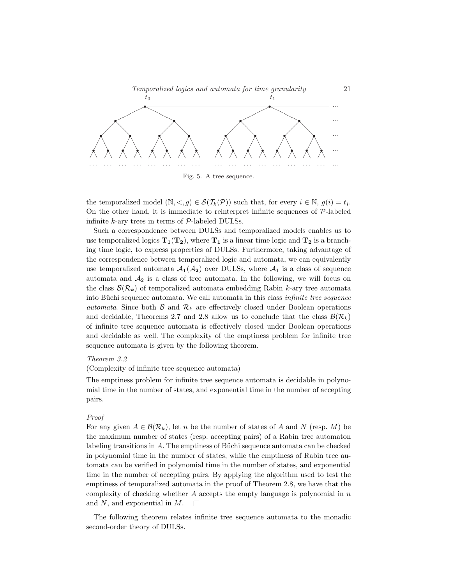## Temporalized logics and automata for time granularity 21



Fig. 5. A tree sequence.

the temporalized model  $(\mathbb{N}, <, g) \in \mathcal{S}(\mathcal{T}_k(\mathcal{P}))$  such that, for every  $i \in \mathbb{N}, g(i) = t_i$ . On the other hand, it is immediate to reinterpret infinite sequences of  $\mathcal{P}\text{-labeled}$ infinite  $k$ -ary trees in terms of  $P$ -labeled DULSs.

Such a correspondence between DULSs and temporalized models enables us to use temporalized logics  $T_1(T_2)$ , where  $T_1$  is a linear time logic and  $T_2$  is a branching time logic, to express properties of DULSs. Furthermore, taking advantage of the correspondence between temporalized logic and automata, we can equivalently use temporalized automata  $A_1(A_2)$  over DULSs, where  $A_1$  is a class of sequence automata and  $A_2$  is a class of tree automata. In the following, we will focus on the class  $\mathcal{B}(\mathcal{R}_k)$  of temporalized automata embedding Rabin k-ary tree automata into Büchi sequence automata. We call automata in this class *infinite tree sequence* automata. Since both  $\mathcal{B}$  and  $\mathcal{R}_k$  are effectively closed under Boolean operations and decidable, Theorems 2.7 and 2.8 allow us to conclude that the class  $\mathcal{B}(\mathcal{R}_k)$ of infinite tree sequence automata is effectively closed under Boolean operations and decidable as well. The complexity of the emptiness problem for infinite tree sequence automata is given by the following theorem.

### Theorem 3.2

(Complexity of infinite tree sequence automata)

The emptiness problem for infinite tree sequence automata is decidable in polynomial time in the number of states, and exponential time in the number of accepting pairs.

#### Proof

For any given  $A \in \mathcal{B}(\mathcal{R}_k)$ , let n be the number of states of A and N (resp. M) be the maximum number of states (resp. accepting pairs) of a Rabin tree automaton labeling transitions in  $A$ . The emptiness of Büchi sequence automata can be checked in polynomial time in the number of states, while the emptiness of Rabin tree automata can be verified in polynomial time in the number of states, and exponential time in the number of accepting pairs. By applying the algorithm used to test the emptiness of temporalized automata in the proof of Theorem 2.8, we have that the complexity of checking whether  $A$  accepts the empty language is polynomial in  $n$ and N, and exponential in M.  $\Box$ 

The following theorem relates infinite tree sequence automata to the monadic second-order theory of DULSs.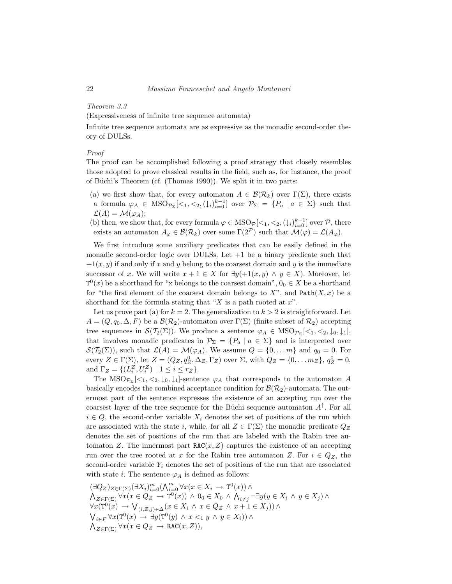## Theorem 3.3

(Expressiveness of infinite tree sequence automata)

Infinite tree sequence automata are as expressive as the monadic second-order theory of DULSs.

## Proof

The proof can be accomplished following a proof strategy that closely resembles those adopted to prove classical results in the field, such as, for instance, the proof of Büchi's Theorem (cf. (Thomas 1990)). We split it in two parts:

- (a) we first show that, for every automaton  $A \in \mathcal{B}(\mathcal{R}_k)$  over  $\Gamma(\Sigma)$ , there exists a formula  $\varphi_A \in \text{MSO}_{\mathcal{P}_\Sigma}[\langle 1,\langle 2,\left(\downarrow_i\right)_{i=0}^{k-1}]$  over  $\mathcal{P}_\Sigma = \{P_a \mid a \in \Sigma\}$  such that  $\mathcal{L}(A) = \mathcal{M}(\varphi_A);$
- (b) then, we show that, for every formula  $\varphi \in \mathrm{MSO}_{\mathcal{P}}[\langle 1, \langle 2, (\downarrow_i)_{i=0}^{k-1}]$  over  $\mathcal{P}$ , there exists an automaton  $A_{\varphi} \in \mathcal{B}(\mathcal{R}_k)$  over some  $\Gamma(2^{\mathcal{P}})$  such that  $\mathcal{M}(\varphi) = \mathcal{L}(A_{\varphi})$ .

We first introduce some auxiliary predicates that can be easily defined in the monadic second-order logic over DULSs. Let  $+1$  be a binary predicate such that  $+1(x, y)$  if and only if x and y belong to the coarsest domain and y is the immediate successor of x. We will write  $x + 1 \in X$  for  $\exists y(+1(x, y) \land y \in X)$ . Moreover, let  $T^{0}(x)$  be a shorthand for "x belongs to the coarsest domain",  $0_{0} \in X$  be a shorthand for "the first element of the coarsest domain belongs to  $X$ ", and  $Path(X, x)$  be a shorthand for the formula stating that "X is a path rooted at  $x$ ".

Let us prove part (a) for  $k = 2$ . The generalization to  $k > 2$  is straightforward. Let  $A = (Q, q_0, \Delta, F)$  be a  $\mathcal{B}(\mathcal{R}_2)$ -automaton over  $\Gamma(\Sigma)$  (finite subset of  $\mathcal{R}_2$ ) accepting tree sequences in  $\mathcal{S}(\mathcal{T}_2(\Sigma))$ . We produce a sentence  $\varphi_A \in \mathrm{MSO}_{\mathcal{P}_\Sigma}[\langle 1, \langle 2, \xi_0, \xi_1],$ that involves monadic predicates in  $\mathcal{P}_{\Sigma} = \{P_a \mid a \in \Sigma\}$  and is interpreted over  $\mathcal{S}(\mathcal{T}_2(\Sigma))$ , such that  $\mathcal{L}(A) = \mathcal{M}(\varphi_A)$ . We assume  $Q = \{0, ..., m\}$  and  $q_0 = 0$ . For every  $Z \in \Gamma(\Sigma)$ , let  $Z = (Q_Z, q_Z^0, \Delta_Z, \Gamma_Z)$  over  $\Sigma$ , with  $Q_Z = \{0, \ldots m_Z\}, q_Z^0 = 0$ , and  $\Gamma_Z = \{ (L_i^Z, U_i^Z) \mid 1 \le i \le r_Z \}.$ 

The  $\text{MSO}_{\mathcal{P}_{\Sigma}}[\langle 1, \langle 2, \downarrow_0, \downarrow_1]$ -sentence  $\varphi_A$  that corresponds to the automaton A basically encodes the combined acceptance condition for  $\mathcal{B}(\mathcal{R}_2)$ -automata. The outermost part of the sentence expresses the existence of an accepting run over the coarsest layer of the tree sequence for the Büchi sequence automaton  $A^{\uparrow}$ . For all  $i \in Q$ , the second-order variable  $X_i$  denotes the set of positions of the run which are associated with the state i, while, for all  $Z \in \Gamma(\Sigma)$  the monadic predicate  $Q_Z$ denotes the set of positions of the run that are labeled with the Rabin tree automaton Z. The innermost part  $RAC(x, Z)$  captures the existence of an accepting run over the tree rooted at x for the Rabin tree automaton Z. For  $i \in Q_Z$ , the second-order variable  $Y_i$  denotes the set of positions of the run that are associated with state *i*. The sentence  $\varphi_A$  is defined as follows:

$$
(\exists Q_Z)_{Z \in \Gamma(\Sigma)} (\exists X_i)_{i=0}^m (\bigwedge_{i=0}^m \forall x (x \in X_i \to \mathbf{T}^0(x)) \land \n\bigwedge_{Z \in \Gamma(\Sigma)} \forall x (x \in Q_Z \to \mathbf{T}^0(x)) \land 0_0 \in X_0 \land \bigwedge_{i \neq j} \neg \exists y (y \in X_i \land y \in X_j) \land \n\forall x (\mathbf{T}^0(x) \to \bigvee_{(i, Z, j) \in \Delta} (x \in X_i \land x \in Q_Z \land x + 1 \in X_j)) \land \n\bigvee_{i \in F} \forall x (\mathbf{T}^0(x) \to \exists y (\mathbf{T}^0(y) \land x <_1 y \land y \in X_i)) \land \n\bigwedge_{Z \in \Gamma(\Sigma)} \forall x (x \in Q_Z \to \text{RAC}(x, Z)),
$$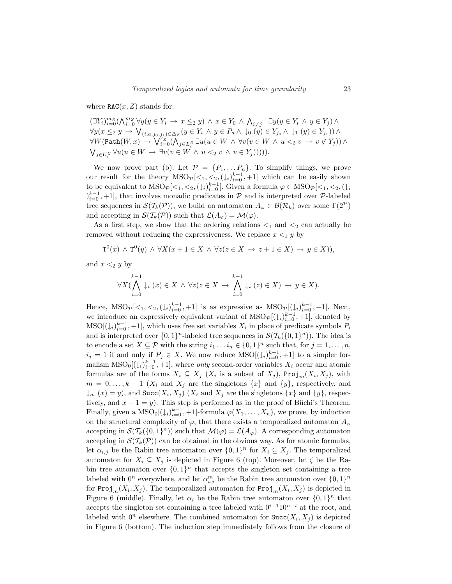where  $RAC(x, Z)$  stands for:

 $(\exists Y_i)_{i=0}^{m_Z} (\bigwedge_{i=0}^{m_Z} \forall y (y \in Y_i \rightarrow x \leq_2 y) \land x \in Y_0 \land \bigwedge_{i \neq j} \neg \exists y (y \in Y_i \land y \in Y_j) \land y \in Y_1 \land y \in Y_2 \land \neg \exists y (y \in Y_i \land y \in Y_j) \land y \in Y_1 \land y \in Y_2 \land \neg \exists y (y \in Y_i \land y \in Y_j) \land y \in Y_2 \land \neg \exists y (y \in Y_i \land y \in Y_j) \land y \in Y_1 \land y \in Y_2 \land \neg \exists y (y \in Y_i \land$  $\forall y(x \leq_2 y \rightarrow \bigvee_{(i,a,j_0,j_1)\in\Delta_Z} (y \in Y_i \land y \in P_a \land \downarrow_0 (y) \in Y_{j_0} \land \downarrow_1 (y) \in Y_{j_1}) ) \land$  $\forall y(x \leq 2 \ y \ \lor \ V_{(i,a,j_0,j_1) \in \Delta_Z} (y \subset 1_i \land y \subset 1_a \land \bot_0 (y) \subset 1_{j_0} \land \bot_1 (y) \subset 1_{j_1})/\land$ <br>  $\forall W(\text{Path}(W,x) \to \bigvee_{i=0}^{r_Z} (\bigwedge_{j \in L_i^Z} \exists u(u \in W \land \forall v(v \in W \land u \leq_2 v \to v \notin Y_j)))$  $\mathbf{v} \cdot \mathbf{v} = \mathbf{v} \cdot \mathbf{v} + \mathbf{v} \cdot \mathbf{v}$  $j \in U_i^Z \; \forall u (u \in W \rightarrow \exists v (v \in W \land u <_2 v \land v \in Y_j))))$ 

We now prove part (b). Let  $\mathcal{P} = \{P_1, \ldots, P_n\}$ . To simplify things, we prove our result for the theory  $\text{MSO}_{\mathcal{P}}\left[\langle 1,\langle \cdot \rangle, \langle \cdot \rangle, \cdot \rangle, +1\right]$  which can be easily shown to be equivalent to  $\text{MSO}_{\mathcal{P}}[\langle 1, \langle 2, (\downarrow_i)_{i=0}^{k-1}]$ . Given a formula  $\varphi \in \text{MSO}_{\mathcal{P}}[\langle 1, \langle 2, (\downarrow_i)_{i=0}^{k-1}]$  $\big)_{i=0}^{k-1}$ ,  $+1$ , that involves monadic predicates in  $P$  and is interpreted over  $P$ -labeled tree sequences in  $\mathcal{S}(\mathcal{T}_{k}(\mathcal{P}))$ , we build an automaton  $A_{\varphi} \in \mathcal{B}(\mathcal{R}_{k})$  over some  $\Gamma(2^{\mathcal{P}})$ and accepting in  $\mathcal{S}(\mathcal{T}_{k}(\mathcal{P}))$  such that  $\mathcal{L}(A_{\varphi}) = \mathcal{M}(\varphi)$ .

As a first step, we show that the ordering relations  $\lt_1$  and  $\lt_2$  can actually be removed without reducing the expressiveness. We replace  $x \leq_1 y$  by

$$
T^{0}(x) \wedge T^{0}(y) \wedge \forall X(x+1 \in X \wedge \forall z(z \in X \rightarrow z+1 \in X) \rightarrow y \in X)),
$$

and  $x \leq_2 y$  by

$$
\forall X (\bigwedge_{i=0}^{k-1} \downarrow_i (x) \in X \ \land \ \forall z (z \in X \ \to \bigwedge_{i=0}^{k-1} \downarrow_i (z) \in X) \ \to \ y \in X).
$$

Hence,  $\text{MSO}_{\mathcal{P}}[\langle 1, \langle 2, (\downarrow_i)_{i=0}^{k-1}, +1]$  is as expressive as  $\text{MSO}_{\mathcal{P}}[(\downarrow_i)_{i=0}^{k-1}, +1]$ . Next, we introduce an expressively equivalent variant of  $MSO_{\mathcal{P}}[(\downarrow_i)_{i=0}^{k-1}, +1]$ , denoted by  $\text{MSO}[(\downarrow_i)_{i=0}^{k-1}, +1]$ , which uses free set variables  $X_i$  in place of predicate symbols  $P_i$ and is interpreted over  $\{0,1\}^n$ -labeled tree sequences in  $\mathcal{S}(\mathcal{T}_k(\{0,1\}^n))$ . The idea is to encode a set  $X \subseteq \mathcal{P}$  with the string  $i_1 \ldots i_n \in \{0,1\}^n$  such that, for  $j = 1, \ldots, n$ ,  $i_j = 1$  if and only if  $P_j \in X$ . We now reduce  $\text{MSO}[(\downarrow_i)_{i=0}^{k-1}, +1]$  to a simpler formalism  $\text{MSO}_0[(\downarrow_i)_{i=0}^{k-1}, +1]$ , where *only* second-order variables  $X_i$  occur and atomic formulas are of the forms  $X_i \subseteq X_j$  ( $X_i$  is a subset of  $X_j$ ),  $\text{Proj}_m(X_i, X_j)$ , with  $m = 0, \ldots, k - 1$  ( $X_i$  and  $X_j$  are the singletons  $\{x\}$  and  $\{y\}$ , respectively, and  $\downarrow_m(x) = y$ , and  $\text{Succ}(X_i, X_j)$   $(X_i \text{ and } X_j \text{ are the singletons } \{x\} \text{ and } \{y\}, \text{respectively, }$ tively, and  $x + 1 = y$ ). This step is performed as in the proof of Büchi's Theorem. Finally, given a  $\text{MSO}_0[(\downarrow_i)_{i=0}^{k-1}, +1]$ -formula  $\varphi(X_1, \ldots, X_n)$ , we prove, by induction on the structural complexity of  $\varphi$ , that there exists a temporalized automaton  $A_{\varphi}$ accepting in  $\mathcal{S}(\mathcal{T}_{k}(\{0,1\}^n))$  such that  $\mathcal{M}(\varphi) = \mathcal{L}(A_{\varphi})$ . A corresponding automaton accepting in  $\mathcal{S}(\mathcal{T}_{k}(\mathcal{P}))$  can be obtained in the obvious way. As for atomic formulas, let  $\alpha_{i,j}$  be the Rabin tree automaton over  $\{0,1\}^n$  for  $X_i \subseteq X_j$ . The temporalized automaton for  $X_i \subseteq X_j$  is depicted in Figure 6 (top). Moreover, let  $\zeta$  be the Rabin tree automaton over  $\{0,1\}^n$  that accepts the singleton set containing a tree labeled with  $0^n$  everywhere, and let  $\alpha_{i,j}^m$  be the Rabin tree automaton over  $\{0,1\}^n$ for  $\text{Proj}_m(X_i, X_j)$ . The temporalized automaton for  $\text{Proj}_m(X_i, X_j)$  is depicted in Figure 6 (middle). Finally, let  $\alpha_i$  be the Rabin tree automaton over  $\{0,1\}^n$  that accepts the singleton set containing a tree labeled with  $0^{i-1}10^{n-i}$  at the root, and labeled with  $0^n$  elsewhere. The combined automaton for  $Succ(X_i, X_j)$  is depicted in Figure 6 (bottom). The induction step immediately follows from the closure of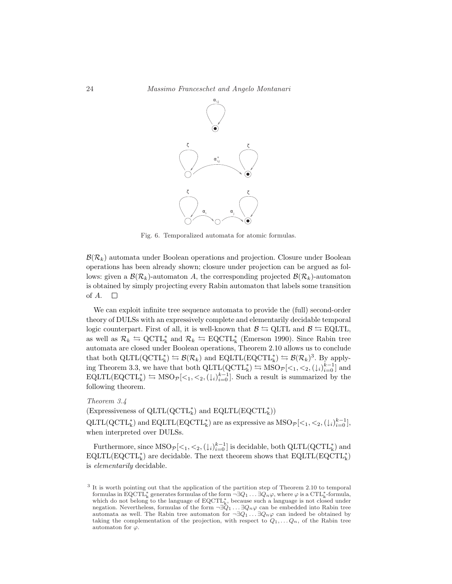24 Massimo Franceschet and Angelo Montanari



Fig. 6. Temporalized automata for atomic formulas.

 $\mathcal{B}(\mathcal{R}_k)$  automata under Boolean operations and projection. Closure under Boolean operations has been already shown; closure under projection can be argued as follows: given a  $\mathcal{B}(\mathcal{R}_k)$ -automaton A, the corresponding projected  $\mathcal{B}(\mathcal{R}_k)$ -automaton is obtained by simply projecting every Rabin automaton that labels some transition of A.  $\Box$ 

We can exploit infinite tree sequence automata to provide the (full) second-order theory of DULSs with an expressively complete and elementarily decidable temporal logic counterpart. First of all, it is well-known that  $\mathcal{B} \leftrightarrows$  QLTL and  $\mathcal{B} \leftrightarrows$  EQLTL, as well as  $\mathcal{R}_k \leftrightarrows \text{QCTL}_k^*$  and  $\mathcal{R}_k \leftrightarrows \text{EQCTL}_k^*$  (Emerson 1990). Since Rabin tree automata are closed under Boolean operations, Theorem 2.10 allows us to conclude that both  $\text{QLTL}(\text{QCTL}_{k}^{*}) \leftrightarrows \mathcal{B}(\mathcal{R}_{k})$  and  $\text{EQLTL}(\text{EQCTL}_{k}^{*}) \leftrightarrows \mathcal{B}(\mathcal{R}_{k})^{3}$ . By applying Theorem 3.3, we have that both  $QLTL(QCTL_k^*)$   $\hookrightarrow$  MSO $\mathcal{P}[\langle 1, \langle 2, (l_i)_{i=0}^{k-1}]$  and  $\text{EQLTL}(\text{EQCTL}_{k}^{*}) \leftrightarrows \text{MSO}_{\mathcal{P}}[\lt_1, \lt_2, (\downarrow_i)_{i=0}^{k-1}].$  Such a result is summarized by the following theorem.

#### Theorem 3.4

 $(\rm{Expressiveness~of~QLTL}(QCTL_k^*)$  and  $\rm{EQLTL}(EQCTL_k^*))$ 

 $\text{QLTL}(\text{QCTL}_{k}^{*})$  and  $\text{EQLTL}(\text{EQCTL}_{k}^{*})$  are as expressive as  $\text{MSO}_{\mathcal{P}}[\langle 1, \langle 2, (l_{i})_{i=0}^{k-1}],$ when interpreted over DULSs.

Furthermore, since  $\mathrm{MSO}_{\mathcal{P}}[\lt_1, \lt_2, (\downarrow_i)_{i=0}^{k-1}]$  is decidable, both  $\mathrm{QLTL}(\mathrm{QCTL}_k^*)$  and  $\mathrm{EQLTL}(\mathrm{EQCTL}_k^*)$  are decidable. The next theorem shows that  $\mathrm{EQLTL}(\mathrm{EQCTL}_k^*)$ is elementarily decidable.

<sup>&</sup>lt;sup>3</sup> It is worth pointing out that the application of the partition step of Theorem 2.10 to temporal formulas in EQCTL $_k^*$  generates formulas of the form  $\neg \exists Q_1 \dots \exists Q_n \varphi,$  where  $\varphi$  is a CTL $_k^*$ -formula, which do not belong to the language of  $\mathrm{EQCTL}_k^*$ , because such a language is not closed under negation. Nevertheless, formulas of the form  $\neg \exists \overline{Q}_1 \dots \exists Q_n \varphi$  can be embedded into Rabin tree automata as well. The Rabin tree automaton for  $\neg \exists Q_1 \dots \exists Q_n \varphi$  can indeed be obtained by taking the complementation of the projection, with respect to  $Q_1, \ldots, Q_n$ , of the Rabin tree automaton for  $\varphi$ .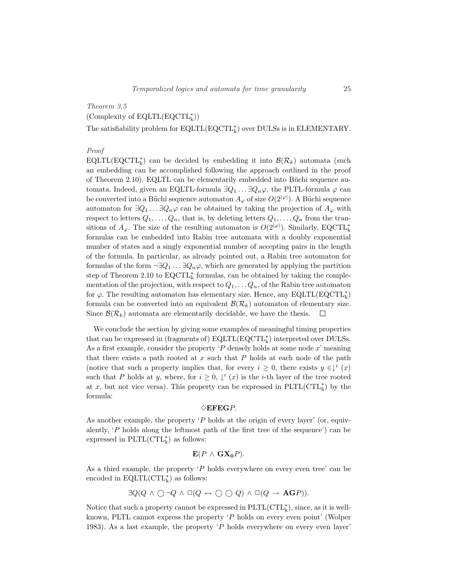Theorem 3.5  $(\mathsf{Complexity\;of\;EQLTL}( \mathsf{EQCTL}_k^*))$ 

The satisfiability problem for  $\mathrm{EQLTL}(\mathrm{EQCTL}_k^*)$  over DULSs is in ELEMENTARY.

# Proof

EQLTL(EQCTL<sup>\*</sup><sub>k</sub>) can be decided by embedding it into  $\mathcal{B}(\mathcal{R}_k)$  automata (such an embedding can be accomplished following the approach outlined in the proof of Theorem 2.10). EQLTL can be elementarily embedded into Büchi sequence automata. Indeed, given an EQLTL-formula  $\exists Q_1 \dots \exists Q_n \varphi$ , the PLTL-formula  $\varphi$  can be converted into a Büchi sequence automaton  $A_{\varphi}$  of size  $O(2^{|\varphi|})$ . A Büchi sequence automaton for  $\exists Q_1 \ldots \exists Q_n \varphi$  can be obtained by taking the projection of  $A_{\varphi}$  with respect to letters  $Q_1, \ldots, Q_n$ , that is, by deleting letters  $Q_1, \ldots, Q_n$  from the transitions of  $A_{\varphi}$ . The size of the resulting automaton is  $O(2^{|\varphi|})$ . Similarly, EQCTL<sup>\*</sup><sub>k</sub> formulas can be embedded into Rabin tree automata with a doubly exponential number of states and a singly exponential number of accepting pairs in the length of the formula. In particular, as already pointed out, a Rabin tree automaton for formulas of the form  $\neg \exists Q_1 \dots \exists Q_n \varphi$ , which are generated by applying the partition step of Theorem 2.10 to  $\mathrm{EQCTL}_k^*$  formulas, can be obtained by taking the complementation of the projection, with respect to  $Q_1, \ldots Q_n$ , of the Rabin tree automaton for  $\varphi$ . The resulting automaton has elementary size. Hence, any EQLTL(EQCTL<sup>\*</sup>k) formula can be converted into an equivalent  $\mathcal{B}(\mathcal{R}_k)$  automaton of elementary size. Since  $\mathcal{B}(\mathcal{R}_k)$  automata are elementarily decidable, we have the thesis.  $\Box$ 

We conclude the section by giving some examples of meaningful timing properties that can be expressed in (fragments of)  $\mathrm{EQLTL}(\mathrm{EQCTL}_k^*)$  interpreted over DULSs. As a first example, consider the property  $\mathcal{P}$  densely holds at some node x' meaning that there exists a path rooted at  $x$  such that  $P$  holds at each node of the path (notice that such a property implies that, for every  $i \geq 0$ , there exists  $y \in \downarrow^{i}(x)$ such that P holds at y, where, for  $i \geq 0$ ,  $\downarrow^{i}(x)$  is the *i*-th layer of the tree rooted at x, but not vice versa). This property can be expressed in  $PLTL(CTL<sub>k</sub><sup>*</sup>)$  by the formula:

#### $\Diamond$ **EFEGP.**

As another example, the property  $P$  holds at the origin of every layer' (or, equivalently, 'P holds along the leftmost path of the first tree of the sequence') can be expressed in  $\text{PLTL}(\text{CTL}_k^*)$  as follows:

$$
\mathbf{E}(P \wedge \mathbf{G} \mathbf{X_0} P).
$$

As a third example, the property 'P holds everywhere on every even tree' can be encoded in  $\mathrm{EQLTL}(\mathrm{CTL}_k^*)$  as follows:

$$
\exists Q(Q \land \bigcirc \neg Q \land \Box(Q \leftrightarrow \bigcirc \bigcirc Q) \land \Box(Q \to \mathbf{AGP})).
$$

Notice that such a property cannot be expressed in  $\text{PLTL}(\text{CTL}_{k}^{*})$ , since, as it is wellknown, PLTL cannot express the property 'P holds on every even point' (Wolper 1983). As a last example, the property 'P holds everywhere on every even layer'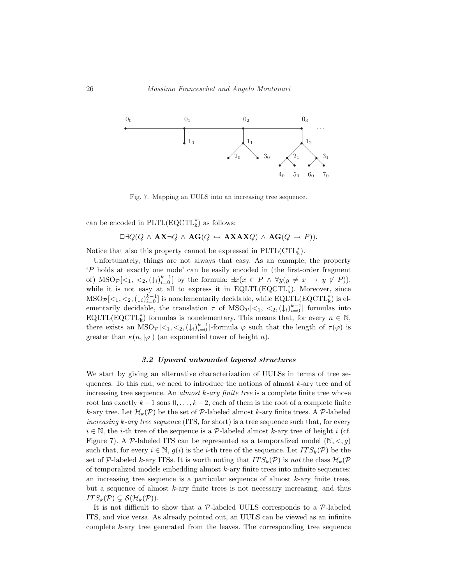

Fig. 7. Mapping an UULS into an increasing tree sequence.

can be encoded in  $\mathrm{PLTL}(\mathrm{EQCTL}_k^*)$  as follows:

$$
\Box \exists Q(Q \land AX \neg Q \land AG(Q \leftrightarrow AXAXQ) \land AG(Q \rightarrow P)).
$$

Notice that also this property cannot be expressed in  $\text{PLTL}(\text{CTL}_{k}^*)$ .

Unfortunately, things are not always that easy. As an example, the property 'P holds at exactly one node' can be easily encoded in (the first-order fragment of) MSO<sub>*P*</sub>[ $\lt_1$ ,  $\lt_2$ ,  $(\downarrow_i)_{i=0}^{k-1}$  by the formula:  $\exists x(x \in P \land \forall y(y \neq x \rightarrow y \notin P))$ , while it is not easy at all to express it in  $\mathrm{EQLTL}(\mathrm{EQCTL}_k^*)$ . Moreover, since  $\mathrm{MSO}_{\mathcal{P}}[\langle 1,\langle 2,\langle \downarrow_i \rangle_{i=0}^{k-1}]$  is nonelementarily decidable, while EQLTL(EQCTL<sub>k</sub><sup>\*</sup>) is elementarily decidable, the translation  $\tau$  of  $MSO_{\mathcal{P}}[\langle 1, \langle 2, (l_i)_{i=0}^{k-1}]$  formulas into  $\text{EQLTL}(\text{EQCTL}_{k}^{*})$  formulas is nonelementary. This means that, for every  $n \in \mathbb{N}$ , there exists an  $MSO_{\mathcal{P}}\left[\langle 1,\langle 2,\left(\downarrow_i\right)_{i=0}^{k-1}\right]$ -formula  $\varphi$  such that the length of  $\tau(\varphi)$  is greater than  $\kappa(n, |\varphi|)$  (an exponential tower of height n).

### 3.2 Upward unbounded layered structures

We start by giving an alternative characterization of UULSs in terms of tree sequences. To this end, we need to introduce the notions of almost  $k$ -ary tree and of increasing tree sequence. An *almost k-ary finite tree* is a complete finite tree whose root has exactly  $k-1$  sons  $0, \ldots, k-2$ , each of them is the root of a complete finite k-ary tree. Let  $\mathcal{H}_k(\mathcal{P})$  be the set of  $\mathcal{P}\text{-labeled almost }k$ -ary finite trees. A  $\mathcal{P}\text{-labeled}$ increasing  $k$ -ary tree sequence (ITS, for short) is a tree sequence such that, for every  $i \in \mathbb{N}$ , the *i*-th tree of the sequence is a P-labeled almost k-ary tree of height i (cf. Figure 7). A P-labeled ITS can be represented as a temporalized model  $(N, <, q)$ such that, for every  $i \in \mathbb{N}$ ,  $g(i)$  is the *i*-th tree of the sequence. Let  $ITS_k(\mathcal{P})$  be the set of P-labeled k-ary ITSs. It is worth noting that  $ITS_k(\mathcal{P})$  is not the class  $\mathcal{H}_k(\mathcal{P})$ of temporalized models embedding almost  $k$ -ary finite trees into infinite sequences: an increasing tree sequence is a particular sequence of almost  $k$ -ary finite trees, but a sequence of almost  $k$ -ary finite trees is not necessary increasing, and thus  $ITS_k(\mathcal{P}) \subseteq \mathcal{S}(\mathcal{H}_k(\mathcal{P})).$ 

It is not difficult to show that a  $P$ -labeled UULS corresponds to a  $P$ -labeled ITS, and vice versa. As already pointed out, an UULS can be viewed as an infinite complete k-ary tree generated from the leaves. The corresponding tree sequence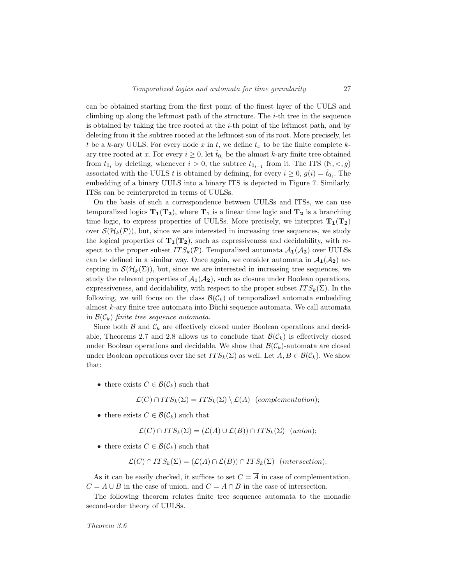can be obtained starting from the first point of the finest layer of the UULS and climbing up along the leftmost path of the structure. The i-th tree in the sequence is obtained by taking the tree rooted at the  $i$ -th point of the leftmost path, and by deleting from it the subtree rooted at the leftmost son of its root. More precisely, let t be a k-ary UULS. For every node x in t, we define  $t_x$  to be the finite complete kary tree rooted at x. For every  $i \geq 0$ , let  $\hat{t}_{0i}$  be the almost k-ary finite tree obtained from  $t_{0_i}$  by deleting, whenever  $i > 0$ , the subtree  $t_{0_{i-1}}$  from it. The ITS (N, <, g) associated with the UULS t is obtained by defining, for every  $i \geq 0$ ,  $g(i) = \hat{t}_{0i}$ . The embedding of a binary UULS into a binary ITS is depicted in Figure 7. Similarly, ITSs can be reinterpreted in terms of UULSs.

On the basis of such a correspondence between UULSs and ITSs, we can use temporalized logics  $T_1(T_2)$ , where  $T_1$  is a linear time logic and  $T_2$  is a branching time logic, to express properties of UULSs. More precisely, we interpret  $T_1(T_2)$ over  $\mathcal{S}(\mathcal{H}_k(\mathcal{P}))$ , but, since we are interested in increasing tree sequences, we study the logical properties of  $T_1(T_2)$ , such as expressiveness and decidability, with respect to the proper subset  $ITS_k(\mathcal{P})$ . Temporalized automata  $\mathcal{A}_1(\mathcal{A}_2)$  over UULSs can be defined in a similar way. Once again, we consider automata in  $\mathcal{A}_1(\mathcal{A}_2)$  accepting in  $\mathcal{S}(\mathcal{H}_k(\Sigma))$ , but, since we are interested in increasing tree sequences, we study the relevant properties of  $A_1(A_2)$ , such as closure under Boolean operations, expressiveness, and decidability, with respect to the proper subset  $ITS_k(\Sigma)$ . In the following, we will focus on the class  $\mathcal{B}(\mathcal{C}_k)$  of temporalized automata embedding almost  $k$ -ary finite tree automata into Büchi sequence automata. We call automata in  $\mathcal{B}(\mathcal{C}_k)$  finite tree sequence automata.

Since both  $\mathcal B$  and  $\mathcal C_k$  are effectively closed under Boolean operations and decidable, Theorems 2.7 and 2.8 allows us to conclude that  $\mathcal{B}(\mathcal{C}_k)$  is effectively closed under Boolean operations and decidable. We show that  $\mathcal{B}(\mathcal{C}_k)$ -automata are closed under Boolean operations over the set  $ITS_k(\Sigma)$  as well. Let  $A, B \in \mathcal{B}(\mathcal{C}_k)$ . We show that:

• there exists  $C \in \mathcal{B}(\mathcal{C}_k)$  such that

 $\mathcal{L}(C) \cap ITS_k(\Sigma) = ITS_k(\Sigma) \setminus \mathcal{L}(A)$  (complementation);

• there exists  $C \in \mathcal{B}(\mathcal{C}_k)$  such that

$$
\mathcal{L}(C) \cap ITS_k(\Sigma) = (\mathcal{L}(A) \cup \mathcal{L}(B)) \cap ITS_k(\Sigma) \quad (union);
$$

• there exists  $C \in \mathcal{B}(\mathcal{C}_k)$  such that

$$
\mathcal{L}(C) \cap ITS_k(\Sigma) = (\mathcal{L}(A) \cap \mathcal{L}(B)) \cap ITS_k(\Sigma) \ \ (intersection).
$$

As it can be easily checked, it suffices to set  $C = \overline{A}$  in case of complementation,  $C = A \cup B$  in the case of union, and  $C = A \cap B$  in the case of intersection.

The following theorem relates finite tree sequence automata to the monadic second-order theory of UULSs.

Theorem 3.6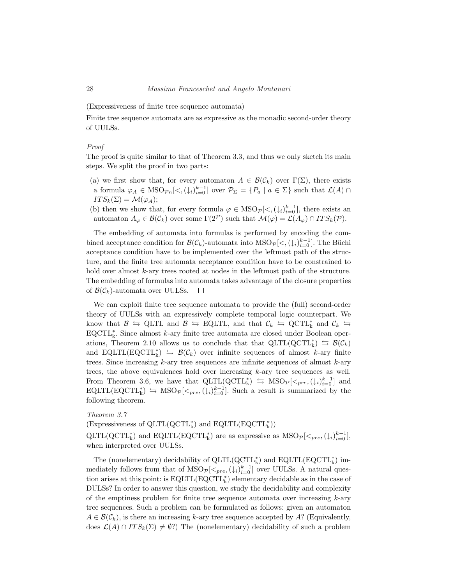(Expressiveness of finite tree sequence automata)

Finite tree sequence automata are as expressive as the monadic second-order theory of UULSs.

## Proof

The proof is quite similar to that of Theorem 3.3, and thus we only sketch its main steps. We split the proof in two parts:

- (a) we first show that, for every automaton  $A \in \mathcal{B}(\mathcal{C}_k)$  over  $\Gamma(\Sigma)$ , there exists a formula  $\varphi_A \in \mathrm{MSO}_{\mathcal{P}_{\Sigma}}[\langle , (\downarrow_i)_{i=0}^{k-1}]$  over  $\mathcal{P}_{\Sigma} = \{P_a \mid a \in \Sigma\}$  such that  $\mathcal{L}(A) \cap$  $ITS_k(\Sigma) = \mathcal{M}(\varphi_A);$
- (b) then we show that, for every formula  $\varphi \in \mathrm{MSO}_{\mathcal{P}}[\langle , (f_i)_{i=0}^{k-1}],$  there exists an automaton  $A_{\varphi} \in \mathcal{B}(\mathcal{C}_k)$  over some  $\Gamma(2^{\mathcal{P}})$  such that  $\mathcal{M}(\varphi) = \mathcal{L}(A_{\varphi}) \cap ITS_k(\mathcal{P})$ .

The embedding of automata into formulas is performed by encoding the combined acceptance condition for  $\mathcal{B}(\mathcal{C}_k)$ -automata into  $\text{MSO}_{\mathcal{P}}[\lt, (\downarrow_i)_{i=0}^{k-1}]$ . The Büchi acceptance condition have to be implemented over the leftmost path of the structure, and the finite tree automata acceptance condition have to be constrained to hold over almost k-ary trees rooted at nodes in the leftmost path of the structure. The embedding of formulas into automata takes advantage of the closure properties of  $\mathcal{B}(\mathcal{C}_k)$ -automata over UULSs.  $\Box$ 

We can exploit finite tree sequence automata to provide the (full) second-order theory of UULSs with an expressively complete temporal logic counterpart. We know that  $\mathcal{B} \subseteq \text{QLTL}$  and  $\mathcal{B} \subseteq \text{EQLTL}$ , and that  $\mathcal{C}_k \subseteq \text{QCTL}_k^*$  and  $\mathcal{C}_k \subseteq$  $\mathrm{EQCTL}_k^*$ . Since almost  $k$ -ary finite tree automata are closed under Boolean operations, Theorem 2.10 allows us to conclude that that  $QLTL(QCTL_k^*) \subseteq \mathcal{B}(\mathcal{C}_k)$ and EQLTL(EQCTL<sup>\*</sup><sub>k</sub>)  $\leq \mathcal{B}(\mathcal{C}_k)$  over infinite sequences of almost k-ary finite trees. Since increasing  $k$ -ary tree sequences are infinite sequences of almost  $k$ -ary trees, the above equivalences hold over increasing  $k$ -ary tree sequences as well. From Theorem 3.6, we have that  $QLTL(QCTL_k^*)$   $\hookrightarrow$  MSO<sub> $\mathcal{P}[\langle_{pre}, (\downarrow_i)_{i=0}^{k-1}]$  and</sub>  $\text{EQLTL}(\text{EQCTL}_{k}^{*}) \leq \text{MSO}_{\mathcal{P}}[\langle e_{pre}, (l_{i})_{i=0}^{k-1}]$ . Such a result is summarized by the following theorem.

# Theorem 3.7

 $(\mbox{Expressiveness of QLTL}(\mbox{QCTL}_k^*)$  and  $\mbox{EQLTL}(\mbox{EQCTL}_k^*))$ 

 $\text{QLTL}(\text{QCTL}_{k}^{*})$  and  $\text{EQLTL}(\text{EQCTL}_{k}^{*})$  are as expressive as  $\text{MSO}_{\mathcal{P}}[\langle \zeta_{pre}, (\downarrow_{i})_{i=0}^{k-1}],$ when interpreted over UULSs.

The (nonelementary) decidability of  $QLTL(QCTL_k^*)$  and  $EQLTL(EQCTL_k^*)$  immediately follows from that of  $\text{MSO}_{\mathcal{P}}[\langle p_{\text{r}ee},(\downarrow_i)_{i=0}^{k-1}]$  over UULSs. A natural question arises at this point: is  $\mathrm{EQLTL}(\mathrm{EQCTL}_k^*)$  elementary decidable as in the case of DULSs? In order to answer this question, we study the decidability and complexity of the emptiness problem for finite tree sequence automata over increasing k-ary tree sequences. Such a problem can be formulated as follows: given an automaton  $A \in \mathcal{B}(\mathcal{C}_k)$ , is there an increasing k-ary tree sequence accepted by A? (Equivalently, does  $\mathcal{L}(A) \cap ITS_k(\Sigma) \neq \emptyset$ ?) The (nonelementary) decidability of such a problem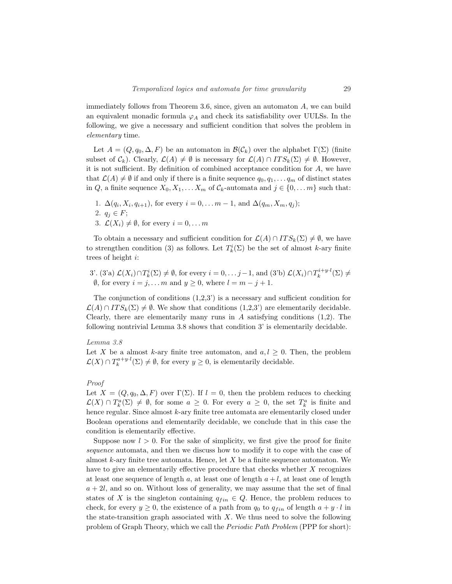immediately follows from Theorem 3.6, since, given an automaton A, we can build an equivalent monadic formula  $\varphi_A$  and check its satisfiability over UULSs. In the following, we give a necessary and sufficient condition that solves the problem in elementary time.

Let  $A = (Q, q_0, \Delta, F)$  be an automaton in  $\mathcal{B}(\mathcal{C}_k)$  over the alphabet  $\Gamma(\Sigma)$  (finite subset of  $\mathcal{C}_k$ ). Clearly,  $\mathcal{L}(A) \neq \emptyset$  is necessary for  $\mathcal{L}(A) \cap ITS_k(\Sigma) \neq \emptyset$ . However, it is not sufficient. By definition of combined acceptance condition for  $A$ , we have that  $\mathcal{L}(A) \neq \emptyset$  if and only if there is a finite sequence  $q_0, q_1, \ldots, q_m$  of distinct states in Q, a finite sequence  $X_0, X_1, \ldots, X_m$  of  $\mathcal{C}_k$ -automata and  $j \in \{0, \ldots m\}$  such that:

- 1.  $\Delta(q_i, X_i, q_{i+1})$ , for every  $i = 0, ..., m 1$ , and  $\Delta(q_m, X_m, q_j)$ ;
- 2.  $q_i \in F;$
- 3.  $\mathcal{L}(X_i) \neq \emptyset$ , for every  $i = 0, \ldots m$

To obtain a necessary and sufficient condition for  $\mathcal{L}(A) \cap ITS_k(\Sigma) \neq \emptyset$ , we have to strengthen condition (3) as follows. Let  $T_k^i(\Sigma)$  be the set of almost k-ary finite trees of height i:

3'. (3'a)  $\mathcal{L}(X_i) \cap T_k^i(\Sigma) \neq \emptyset$ , for every  $i = 0, \ldots, j-1$ , and (3'b)  $\mathcal{L}(X_i) \cap T_k^{i+y \cdot l}(\Sigma) \neq$  $\emptyset$ , for every  $i = j, \ldots m$  and  $y \ge 0$ , where  $l = m - j + 1$ .

The conjunction of conditions  $(1,2,3')$  is a necessary and sufficient condition for  $\mathcal{L}(A) \cap ITS_k(\Sigma) \neq \emptyset$ . We show that conditions  $(1,2,3')$  are elementarily decidable. Clearly, there are elementarily many runs in A satisfying conditions  $(1,2)$ . The following nontrivial Lemma 3.8 shows that condition 3' is elementarily decidable.

Lemma 3.8

Let X be a almost k-ary finite tree automaton, and  $a, l \geq 0$ . Then, the problem  $\mathcal{L}(X) \cap T_k^{a+y \cdot l}(\Sigma) \neq \emptyset$ , for every  $y \geq 0$ , is elementarily decidable.

Proof

Let  $X = (Q, q_0, \Delta, F)$  over  $\Gamma(\Sigma)$ . If  $l = 0$ , then the problem reduces to checking  $\mathcal{L}(X) \cap T_k^a(\Sigma) \neq \emptyset$ , for some  $a \geq 0$ . For every  $a \geq 0$ , the set  $T_k^a$  is finite and hence regular. Since almost k-ary finite tree automata are elementarily closed under Boolean operations and elementarily decidable, we conclude that in this case the condition is elementarily effective.

Suppose now  $l > 0$ . For the sake of simplicity, we first give the proof for finite sequence automata, and then we discuss how to modify it to cope with the case of almost  $k$ -ary finite tree automata. Hence, let  $X$  be a finite sequence automaton. We have to give an elementarily effective procedure that checks whether X recognizes at least one sequence of length a, at least one of length  $a + l$ , at least one of length  $a + 2l$ , and so on. Without loss of generality, we may assume that the set of final states of X is the singleton containing  $q_{fin} \in Q$ . Hence, the problem reduces to check, for every  $y \ge 0$ , the existence of a path from  $q_0$  to  $q_{fin}$  of length  $a + y \cdot l$  in the state-transition graph associated with  $X$ . We thus need to solve the following problem of Graph Theory, which we call the Periodic Path Problem (PPP for short):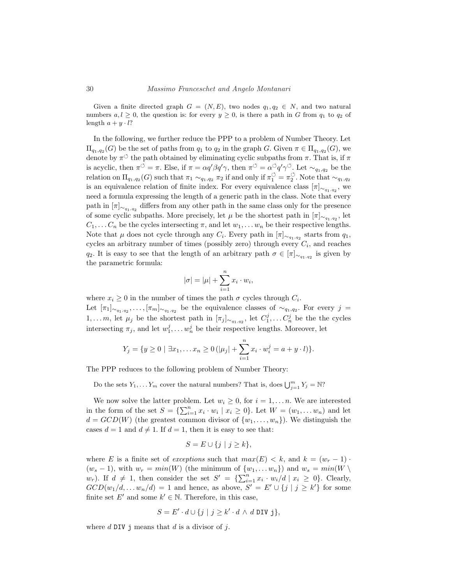Given a finite directed graph  $G = (N, E)$ , two nodes  $q_1, q_2 \in N$ , and two natural numbers  $a, l \geq 0$ , the question is: for every  $y \geq 0$ , is there a path in G from  $q_1$  to  $q_2$  of length  $a + y \cdot l$ ?

In the following, we further reduce the PPP to a problem of Number Theory. Let  $\Pi_{q_1,q_2}(G)$  be the set of paths from  $q_1$  to  $q_2$  in the graph G. Given  $\pi \in \Pi_{q_1,q_2}(G)$ , we denote by  $\pi^{\circ}$  the path obtained by eliminating cyclic subpaths from  $\pi$ . That is, if  $\pi$ is acyclic, then  $\pi^{\circlearrowleft} = \pi$ . Else, if  $\pi = \alpha q' \beta q' \gamma$ , then  $\pi^{\circlearrowleft} = \alpha^{\circlearrowleft} q' \gamma^{\circlearrowleft}$ . Let  $\sim_{q_1, q_2}$  be the relation on  $\Pi_{q_1,q_2}(G)$  such that  $\pi_1 \sim_{q_1,q_2} \pi_2$  if and only if  $\pi_1^{\circlearrowleft} = \pi_2^{\circlearrowleft}$ . Note that  $\sim_{q_1,q_2}$ is an equivalence relation of finite index. For every equivalence class  $[\pi]_{\sim_{q_1,q_2}}$ , we need a formula expressing the length of a generic path in the class. Note that every path in  $[\pi]_{\sim_{q_1,q_2}}$  differs from any other path in the same class only for the presence of some cyclic subpaths. More precisely, let  $\mu$  be the shortest path in  $[\pi]_{\sim_{q_1,q_2}}$ , let  $C_1, \ldots, C_n$  be the cycles intersecting  $\pi$ , and let  $w_1, \ldots, w_n$  be their respective lengths. Note that  $\mu$  does not cycle through any  $C_i$ . Every path in  $[\pi]_{\sim_{q_1,q_2}}$  starts from  $q_1$ , cycles an arbitrary number of times (possibly zero) through every  $C_i$ , and reaches q<sub>2</sub>. It is easy to see that the length of an arbitrary path  $\sigma \in [\pi]_{\sim_{q_1,q_2}}$  is given by the parametric formula:

$$
|\sigma| = |\mu| + \sum_{i=1}^n x_i \cdot w_i,
$$

where  $x_i \geq 0$  in the number of times the path  $\sigma$  cycles through  $C_i$ . Let  $[\pi_1]_{\sim_{q_1,q_2}},\ldots,[\pi_m]_{\sim_{q_1,q_2}}$  be the equivalence classes of  $\sim_{q_1,q_2}$ . For every  $j=$ 1,...m, let  $\mu_j$  be the shortest path in  $[\pi_j]_{\sim_{q_1,q_2}}$ , let  $C_1^j$ ,... $C_n^j$  be the the cycles intersecting  $\pi_j$ , and let  $w_1^j, \ldots w_n^j$  be their respective lengths. Moreover, let

$$
Y_j = \{y \ge 0 \mid \exists x_1, \dots x_n \ge 0 \left( |\mu_j| + \sum_{i=1}^n x_i \cdot w_i^j = a + y \cdot l \right) \}.
$$

The PPP reduces to the following problem of Number Theory:

Do the sets  $Y_1, \ldots Y_m$  cover the natural numbers? That is, does  $\bigcup_{j=1}^m Y_j = \mathbb{N}^2$ ?

We now solve the latter problem. Let  $w_i \geq 0$ , for  $i = 1, \ldots, n$ . We are interested in the form of the set  $S = \{\sum_{i=1}^{n} x_i \cdot w_i \mid x_i \ge 0\}$ . Let  $W = (w_1, \ldots w_n)$  and let  $d = GCD(W)$  (the greatest common divisor of  $\{w_1, \ldots, w_n\}$ ). We distinguish the cases  $d = 1$  and  $d \neq 1$ . If  $d = 1$ , then it is easy to see that:

$$
S = E \cup \{j \mid j \ge k\},\
$$

where E is a finite set of exceptions such that  $max(E) < k$ , and  $k = (w_r - 1)$ .  $(w_s - 1)$ , with  $w_r = min(W)$  (the minimum of  $\{w_1, \ldots w_n\}$ ) and  $w_s = min(W \setminus$  $(w_s - 1)$ , with  $w_r = min(w)$  (the minimum of  $\{w_1, \ldots, w_n\}$ ) and  $w_s = min(w \mid w_r)$ .<br>  $w_r$ ). If  $d \neq 1$ , then consider the set  $S' = {\sum_{i=1}^n x_i \cdot w_i/d \mid x_i \geq 0}$ . Clearly,  $GCD(w_1/d, \ldots w_n/d) = 1$  and hence, as above,  $S' = E' \cup \{j \mid j \ge k'\}$  for some finite set E' and some  $k' \in \mathbb{N}$ . Therefore, in this case,

$$
S = E' \cdot d \cup \{j \mid j \ge k' \cdot d \land d \text{ DIV } j\},
$$

where  $d$  DIV j means that  $d$  is a divisor of  $j$ .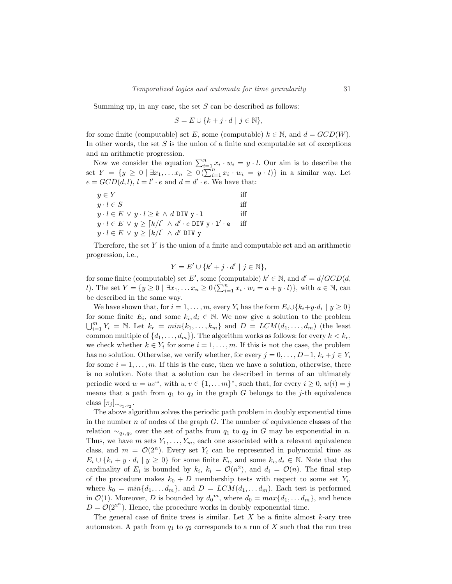Summing up, in any case, the set  $S$  can be described as follows:

$$
S = E \cup \{k + j \cdot d \mid j \in \mathbb{N}\},\
$$

for some finite (computable) set E, some (computable)  $k \in \mathbb{N}$ , and  $d = GCD(W)$ . In other words, the set  $S$  is the union of a finite and computable set of exceptions and an arithmetic progression.

Now we consider the equation  $\sum_{i=1}^{n} x_i \cdot w_i = y \cdot l$ . Our aim is to describe the set  $Y = \{y \ge 0 \mid \exists x_1, \ldots x_n \ge 0 \left( \sum_{i=1}^n x_i \cdot w_i = y \cdot l \right) \}$  in a similar way. Let  $e = GCD(d, l), l = l' \cdot e$  and  $d = d' \cdot e$ . We have that:

| $y \in Y$                                                                                 | iff |
|-------------------------------------------------------------------------------------------|-----|
| $u \cdot l \in S$                                                                         | iff |
| $y \cdot l \in E \lor y \cdot l \geq k \land d$ DIV $y \cdot 1$                           | iff |
| $y \cdot l \in E \lor y \geq \lceil k/l \rceil \land d' \cdot e$ DIV $y \cdot 1' \cdot e$ | iff |
| $y \cdot l \in E \lor y \geq \lceil k/l \rceil \land d'$ DIV y                            |     |

Therefore, the set  $Y$  is the union of a finite and computable set and an arithmetic progression, i.e.,

$$
Y = E' \cup \{k' + j \cdot d' \mid j \in \mathbb{N}\},\
$$

for some finite (computable) set E', some (computable)  $k' \in \mathbb{N}$ , and  $d' = d/GCD(d,$ lot some inner (computable) set E, some (computable)  $\kappa \in \mathbb{N}$ , and  $u = u/\text{GCD}(u,$ <br>
(*l*). The set  $Y = \{y \ge 0 \mid \exists x_1, \dots x_n \ge 0 \ (\sum_{i=1}^n x_i \cdot w_i = a + y \cdot l) \}$ , with  $a \in \mathbb{N}$ , can be described in the same way.

We have shown that, for  $i = 1, \ldots, m$ , every  $Y_i$  has the form  $E_i \cup \{k_i + y \cdot d_i \mid y \geq 0\}$ for some finite  $E_i$ , and some  $k_i, d_i \in \mathbb{N}$ . We now give a solution to the problem For some lime  $E_i$ , and some  $k_i, a_i \in \mathbb{N}$ . We now give a solution to the problem<br> $\bigcup_{i=1}^m Y_i = \mathbb{N}$ . Let  $k_r = min\{k_1, \ldots, k_m\}$  and  $D = LCM(d_1, \ldots, d_m)$  (the least common multiple of  $\{d_1, \ldots, d_m\}$ . The algorithm works as follows: for every  $k < k_r$ , we check whether  $k \in Y_i$  for some  $i = 1, \ldots, m$ . If this is not the case, the problem has no solution. Otherwise, we verify whether, for every  $j = 0, \ldots, D-1, k_r + j \in Y_i$ for some  $i = 1, \ldots, m$ . If this is the case, then we have a solution, otherwise, there is no solution. Note that a solution can be described in terms of an ultimately periodic word  $w = uv^{\omega}$ , with  $u, v \in \{1, ..., m\}^*$ , such that, for every  $i \geq 0$ ,  $w(i) = j$ means that a path from  $q_1$  to  $q_2$  in the graph G belongs to the j-th equivalence class  $[\pi_j]_{\sim_{q_1,q_2}}$ .

The above algorithm solves the periodic path problem in doubly exponential time in the number  $n$  of nodes of the graph  $G$ . The number of equivalence classes of the relation  $\sim_{q_1,q_2}$  over the set of paths from  $q_1$  to  $q_2$  in G may be exponential in n. Thus, we have m sets  $Y_1, \ldots, Y_m$ , each one associated with a relevant equivalence class, and  $m = \mathcal{O}(2^n)$ . Every set  $Y_i$  can be represented in polynomial time as  $E_i \cup \{k_i + y \cdot d_i \mid y \geq 0\}$  for some finite  $E_i$ , and some  $k_i, d_i \in \mathbb{N}$ . Note that the cardinality of  $E_i$  is bounded by  $k_i$ ,  $k_i = \mathcal{O}(n^2)$ , and  $d_i = \mathcal{O}(n)$ . The final step of the procedure makes  $k_0 + D$  membership tests with respect to some set  $Y_i$ , where  $k_0 = min\{d_1, \ldots, d_m\}$ , and  $D = LCM(d_1, \ldots, d_m)$ . Each test is performed in  $\mathcal{O}(1)$ . Moreover, D is bounded by  $d_0^m$ , where  $d_0 = max\{d_1, \ldots d_m\}$ , and hence  $D = \mathcal{O}(2^{2^n})$ . Hence, the procedure works in doubly exponential time.

The general case of finite trees is similar. Let  $X$  be a finite almost  $k$ -ary tree automaton. A path from  $q_1$  to  $q_2$  corresponds to a run of X such that the run tree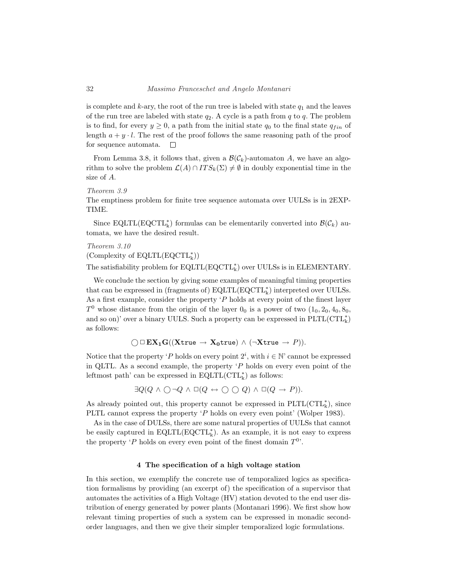is complete and k-ary, the root of the run tree is labeled with state  $q_1$  and the leaves of the run tree are labeled with state  $q_2$ . A cycle is a path from q to q. The problem is to find, for every  $y \geq 0$ , a path from the initial state  $q_0$  to the final state  $q_{fin}$  of length  $a + y \cdot l$ . The rest of the proof follows the same reasoning path of the proof for sequence automata.  $\Box$ 

From Lemma 3.8, it follows that, given a  $\mathcal{B}(\mathcal{C}_k)$ -automaton A, we have an algorithm to solve the problem  $\mathcal{L}(A) \cap ITS_k(\Sigma) \neq \emptyset$  in doubly exponential time in the size of A.

#### Theorem 3.9

The emptiness problem for finite tree sequence automata over UULSs is in 2EXP-TIME.

Since EQLTL(EQCTL<sup>\*</sup><sub>k</sub>) formulas can be elementarily converted into  $\mathcal{B}(\mathcal{C}_k)$  automata, we have the desired result.

## Theorem 3.10

 $(\mathsf{Complexity\;of\;EQLTL}( \mathsf{EQCTL}_k^*))$ 

The satisfiability problem for  $\mathrm{EQLTL}(\mathrm{EQCTL}_k^*)$  over UULSs is in ELEMENTARY.

We conclude the section by giving some examples of meaningful timing properties that can be expressed in (fragments of)  $\mathrm{EQLTL}(\mathrm{EQCTL}_k^*)$  interpreted over UULSs. As a first example, consider the property 'P holds at every point of the finest layer  $T^0$  whose distance from the origin of the layer  $0_0$  is a power of two  $(1_0, 2_0, 4_0, 8_0,$ and so on)' over a binary UULS. Such a property can be expressed in  $\text{PLTL}(\text{CTL}_k^*)$ as follows:

$$
\bigcirc \Box \operatorname{EX_1G}((\operatorname{Xtrue} \rightarrow \operatorname{X_0true}) \, \wedge \, (\neg \operatorname{Xtrue} \rightarrow P)).
$$

Notice that the property 'P holds on every point  $2^i$ , with  $i \in \mathbb{N}$ ' cannot be expressed in QLTL. As a second example, the property  $\mathcal{P}$  holds on every even point of the leftmost path' can be expressed in  $\mathrm{EQLTL}(\mathrm{CTL}^*_k)$  as follows:

$$
\exists Q(Q \land \bigcirc \neg Q \land \Box(Q \leftrightarrow \bigcirc \bigcirc Q) \land \Box(Q \to P)).
$$

As already pointed out, this property cannot be expressed in  $PLTL(CTL_k^*)$ , since PLTL cannot express the property 'P holds on every even point' (Wolper 1983).

As in the case of DULSs, there are some natural properties of UULSs that cannot be easily captured in  $\mathrm{EQLTL}(\mathrm{EQCTL}_k^*)$ . As an example, it is not easy to express the property 'P holds on every even point of the finest domain  $T^0$ '.

#### 4 The specification of a high voltage station

In this section, we exemplify the concrete use of temporalized logics as specification formalisms by providing (an excerpt of) the specification of a supervisor that automates the activities of a High Voltage (HV) station devoted to the end user distribution of energy generated by power plants (Montanari 1996). We first show how relevant timing properties of such a system can be expressed in monadic secondorder languages, and then we give their simpler temporalized logic formulations.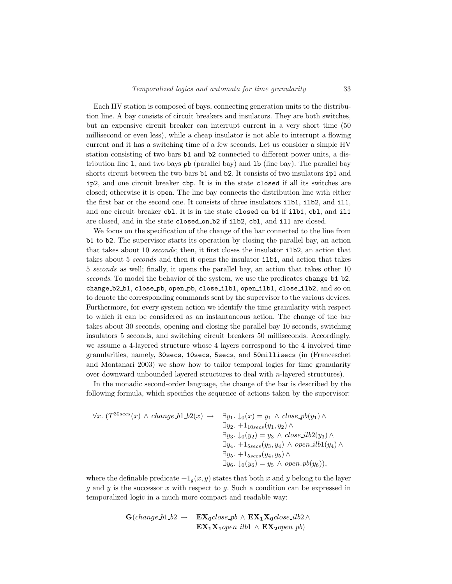Each HV station is composed of bays, connecting generation units to the distribution line. A bay consists of circuit breakers and insulators. They are both switches, but an expensive circuit breaker can interrupt current in a very short time (50 millisecond or even less), while a cheap insulator is not able to interrupt a flowing current and it has a switching time of a few seconds. Let us consider a simple HV station consisting of two bars b1 and b2 connected to different power units, a distribution line l, and two bays pb (parallel bay) and lb (line bay). The parallel bay shorts circuit between the two bars b1 and b2. It consists of two insulators ip1 and ip2, and one circuit breaker cbp. It is in the state closed if all its switches are closed; otherwise it is open. The line bay connects the distribution line with either the first bar or the second one. It consists of three insulators ilb1, ilb2, and il1, and one circuit breaker cbl. It is in the state closed on b1 if ilb1, cbl, and il1 are closed, and in the state closed on b2 if ilb2, cbl, and il1 are closed.

We focus on the specification of the change of the bar connected to the line from b1 to b2. The supervisor starts its operation by closing the parallel bay, an action that takes about 10 seconds; then, it first closes the insulator ilb2, an action that takes about 5 seconds and then it opens the insulator ilb1, and action that takes 5 seconds as well; finally, it opens the parallel bay, an action that takes other 10 seconds. To model the behavior of the system, we use the predicates change  $b1_b2$ , change b2 b1, close pb, open pb, close ilb1, open ilb1, close ilb2, and so on to denote the corresponding commands sent by the supervisor to the various devices. Furthermore, for every system action we identify the time granularity with respect to which it can be considered as an instantaneous action. The change of the bar takes about 30 seconds, opening and closing the parallel bay 10 seconds, switching insulators 5 seconds, and switching circuit breakers 50 milliseconds. Accordingly, we assume a 4-layered structure whose 4 layers correspond to the 4 involved time granularities, namely, 30secs, 10secs, 5secs, and 50millisecs (in (Franceschet and Montanari 2003) we show how to tailor temporal logics for time granularity over downward unbounded layered structures to deal with n-layered structures).

In the monadic second-order language, the change of the bar is described by the following formula, which specifies the sequence of actions taken by the supervisor:

$$
\forall x. (T^{30secs}(x) \land change\text{-}b1\text{-}b2(x) \rightarrow \exists y_1. \downarrow_0(x) = y_1 \land close\text{-}pb(y_1) \land \exists y_2. +1_{10secs}(y_1, y_2) \land \exists y_3. \downarrow_0(y_2) = y_3 \land close\text{-}ilb2(y_3) \land \exists y_4. +1_{5secs}(y_3, y_4) \land open\text{-}ilb1(y_4) \land \exists y_5. +1_{5secs}(y_4, y_5) \land \exists y_6. \downarrow_0(y_6) = y_5 \land open\text{-}pb(y_6)),
$$

where the definable predicate  $+1_{q}(x, y)$  states that both x and y belong to the layer  $g$  and  $y$  is the successor  $x$  with respect to  $g$ . Such a condition can be expressed in temporalized logic in a much more compact and readable way:

$$
\begin{array}{rcl}\mathbf{G}(change\_b1\_b2 \rightarrow & \mathbf{EX_{0}}close\_pb \land \mathbf{EX_{1}}\mathbf{X_{0}}close\_ilb2 \land \\
& \mathbf{EX_{1}}\mathbf{X_{1}}open\_ilb1 \land \mathbf{EX_{2}}open\_pb)\end{array}
$$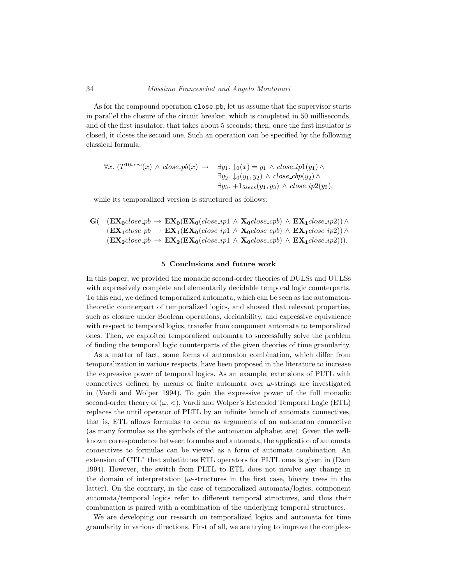As for the compound operation close pb, let us assume that the supervisor starts in parallel the closure of the circuit breaker, which is completed in 50 milliseconds, and of the first insulator, that takes about 5 seconds; then, once the first insulator is closed, it closes the second one. Such an operation can be specified by the following classical formula:

$$
\forall x. (T^{10secs}(x) \land close\_pb(x) \rightarrow \exists y_1. \downarrow_0(x) = y_1 \land close\_ip1(y_1) \land \exists y_2. \downarrow_0(y_1, y_2) \land close\_cbp(y_2) \land \exists y_3. +1_{5secs}(y_1, y_3) \land close\_ip2(y_3),
$$

while its temporalized version is structured as follows:

$$
G(\begin{array}{l} (EX_0 close\_pb \rightarrow EX_0(EX_0 close\_ip1 \land X_0close\_cpb) \land EX_1close\_ip2)) \land \\ (EX_1close\_pb \rightarrow EX_1(EX_0(close\_ip1 \land X_0close\_cpb) \land EX_1close\_ip2)) \land \\ (EX_2close\_pb \rightarrow EX_2(EX_0(close\_ip1 \land X_0close\_cpb) \land EX_1close\_ip2))).\end{array}
$$

## 5 Conclusions and future work

In this paper, we provided the monadic second-order theories of DULSs and UULSs with expressively complete and elementarily decidable temporal logic counterparts. To this end, we defined temporalized automata, which can be seen as the automatontheoretic counterpart of temporalized logics, and showed that relevant properties, such as closure under Boolean operations, decidability, and expressive equivalence with respect to temporal logics, transfer from component automata to temporalized ones. Then, we exploited temporalized automata to successfully solve the problem of finding the temporal logic counterparts of the given theories of time granularity.

As a matter of fact, some forms of automaton combination, which differ from temporalization in various respects, have been proposed in the literature to increase the expressive power of temporal logics. As an example, extensions of PLTL with connectives defined by means of finite automata over  $\omega$ -strings are investigated in (Vardi and Wolper 1994). To gain the expressive power of the full monadic second-order theory of  $(\omega, <)$ , Vardi and Wolper's Extended Temporal Logic (ETL) replaces the until operator of PLTL by an infinite bunch of automata connectives, that is, ETL allows formulas to occur as arguments of an automaton connective (as many formulas as the symbols of the automaton alphabet are). Given the wellknown correspondence between formulas and automata, the application of automata connectives to formulas can be viewed as a form of automata combination. An extension of CTL<sup>\*</sup> that substitutes ETL operators for PLTL ones is given in (Dam 1994). However, the switch from PLTL to ETL does not involve any change in the domain of interpretation ( $\omega$ -structures in the first case, binary trees in the latter). On the contrary, in the case of temporalized automata/logics, component automata/temporal logics refer to different temporal structures, and thus their combination is paired with a combination of the underlying temporal structures.

We are developing our research on temporalized logics and automata for time granularity in various directions. First of all, we are trying to improve the complex-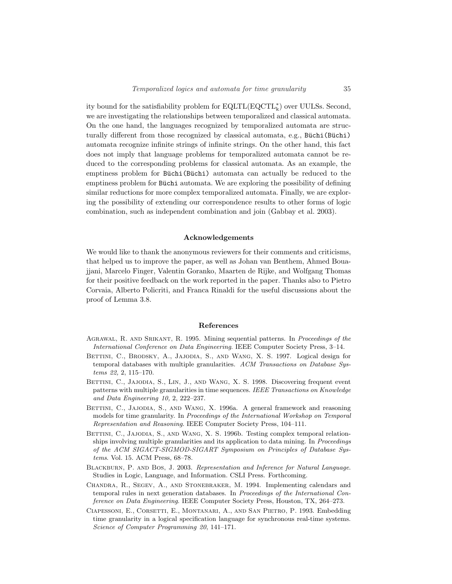ity bound for the satisfiability problem for  $\mathrm{EQLTL}(\mathrm{EQCTL}_k^*)$  over UULSs. Second, we are investigating the relationships between temporalized and classical automata. On the one hand, the languages recognized by temporalized automata are structurally different from those recognized by classical automata, e.g., Büchi(Büchi) automata recognize infinite strings of infinite strings. On the other hand, this fact does not imply that language problems for temporalized automata cannot be reduced to the corresponding problems for classical automata. As an example, the emptiness problem for Büchi(Büchi) automata can actually be reduced to the emptiness problem for Büchi automata. We are exploring the possibility of defining similar reductions for more complex temporalized automata. Finally, we are exploring the possibility of extending our correspondence results to other forms of logic combination, such as independent combination and join (Gabbay et al. 2003).

## Acknowledgements

We would like to thank the anonymous reviewers for their comments and criticisms, that helped us to improve the paper, as well as Johan van Benthem, Ahmed Bouajjani, Marcelo Finger, Valentin Goranko, Maarten de Rijke, and Wolfgang Thomas for their positive feedback on the work reported in the paper. Thanks also to Pietro Corvaia, Alberto Policriti, and Franca Rinaldi for the useful discussions about the proof of Lemma 3.8.

#### References

- Agrawal, R. and Srikant, R. 1995. Mining sequential patterns. In Proceedings of the International Conference on Data Engineering. IEEE Computer Society Press, 3–14.
- BETTINI, C., BRODSKY, A., JAJODIA, S., AND WANG, X. S. 1997. Logical design for temporal databases with multiple granularities. ACM Transactions on Database Systems 22, 2, 115–170.
- BETTINI, C., JAJODIA, S., LIN, J., AND WANG, X. S. 1998. Discovering frequent event patterns with multiple granularities in time sequences. IEEE Transactions on Knowledge and Data Engineering 10, 2, 222–237.
- BETTINI, C., JAJODIA, S., AND WANG, X. 1996a. A general framework and reasoning models for time granularity. In *Proceedings of the International Workshop on Temporal* Representation and Reasoning. IEEE Computer Society Press, 104–111.
- BETTINI, C., JAJODIA, S., AND WANG, X. S. 1996b. Testing complex temporal relationships involving multiple granularities and its application to data mining. In Proceedings of the ACM SIGACT-SIGMOD-SIGART Symposium on Principles of Database Systems. Vol. 15. ACM Press, 68–78.
- Blackburn, P. and Bos, J. 2003. Representation and Inference for Natural Language. Studies in Logic, Language, and Information. CSLI Press. Forthcoming.
- Chandra, R., Segev, A., and Stonebraker, M. 1994. Implementing calendars and temporal rules in next generation databases. In Proceedings of the International Conference on Data Engineering. IEEE Computer Society Press, Houston, TX, 264–273.
- Ciapessoni, E., Corsetti, E., Montanari, A., and San Pietro, P. 1993. Embedding time granularity in a logical specification language for synchronous real-time systems. Science of Computer Programming 20, 141–171.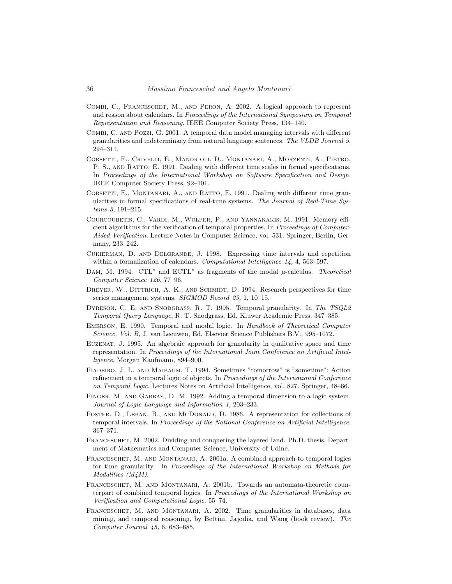- Combi, C., Franceschet, M., and Peron, A. 2002. A logical approach to represent and reason about calendars. In Proceedings of the International Symposium on Temporal Representation and Reasoning. IEEE Computer Society Press, 134–140.
- Combi, C. and Pozzi, G. 2001. A temporal data model managing intervals with different granularities and indeterminacy from natural language sentences. The VLDB Journal 9, 294–311.
- Corsetti, E., Crivelli, E., Mandrioli, D., Montanari, A., Morzenti, A., Pietro, P. S., and Ratto, E. 1991. Dealing with different time scales in formal specifications. In Proceedings of the International Workshop on Software Specification and Design. IEEE Computer Society Press, 92–101.
- CORSETTI, E., MONTANARI, A., AND RATTO, E. 1991. Dealing with different time granularities in formal specifications of real-time systems. The Journal of Real-Time Systems 3, 191–215.
- Courcoubetis, C., Vardi, M., Wolper, P., and Yannakakis, M. 1991. Memory efficient algorithms for the verification of temporal properties. In Proceedings of Computer-Aided Verification. Lecture Notes in Computer Science, vol. 531. Springer, Berlin, Germany, 233–242.
- Cukierman, D. and Delgrande, J. 1998. Expressing time intervals and repetition within a formalization of calendars. Computational Intelligence 14, 4, 563–597.
- DAM, M. 1994.  $\text{CTL}^*$  and  $\text{ECTL}^*$  as fragments of the modal  $\mu$ -calculus. Theoretical Computer Science 126, 77–96.
- DREYER, W., DITTRICH, A. K., AND SCHMIDT, D. 1994. Research perspectives for time series management systems. SIGMOD Record 23, 1, 10-15.
- DYRESON, C. E. AND SNODGRASS, R. T. 1995. Temporal granularity. In The TSQL2 Temporal Query Language, R. T. Snodgrass, Ed. Kluwer Academic Press, 347–385.
- Emerson, E. 1990. Temporal and modal logic. In Handbook of Theoretical Computer Science, Vol. B, J. van Leeuwen, Ed. Elsevier Science Publishers B.V., 995–1072.
- Euzenat, J. 1995. An algebraic approach for granularity in qualitative space and time representation. In Proceedings of the International Joint Conference on Artificial Intelligence. Morgan Kaufmann, 894–900.
- Fiadeiro, J. L. and Maibaum, T. 1994. Sometimes "tomorrow" is "sometime": Action refinement in a temporal logic of objects. In *Proceedings of the International Conference* on Temporal Logic. Lectures Notes on Artificial Intelligence, vol. 827. Springer, 48–66.
- FINGER, M. AND GABBAY, D. M. 1992. Adding a temporal dimension to a logic system. Journal of Logic Language and Information 1, 203–233.
- FOSTER, D., LEBAN, B., AND MCDONALD, D. 1986. A representation for collections of temporal intervals. In Proceedings of the National Conference on Artificial Intelligence. 367–371.
- Franceschet, M. 2002. Dividing and conquering the layered land. Ph.D. thesis, Department of Mathematics and Computer Science, University of Udine.
- Franceschet, M. and Montanari, A. 2001a. A combined approach to temporal logics for time granularity. In Proceedings of the International Workshop on Methods for Modalities (M4M).
- Franceschet, M. and Montanari, A. 2001b. Towards an automata-theoretic counterpart of combined temporal logics. In Proceedings of the International Workshop on Verification and Computational Logic. 55–74.
- Franceschet, M. and Montanari, A. 2002. Time granularities in databases, data mining, and temporal reasoning, by Bettini, Jajodia, and Wang (book review). The Computer Journal 45, 6, 683–685.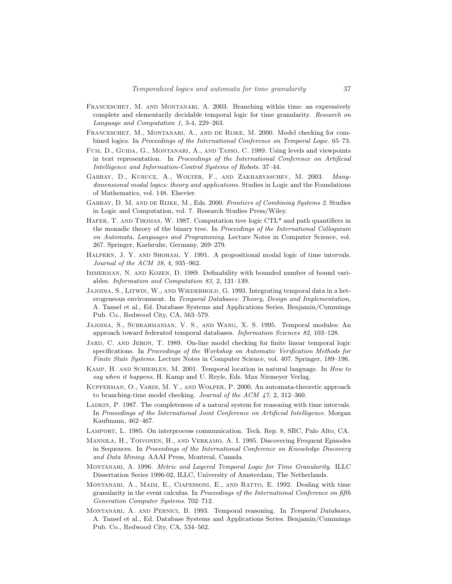- Franceschet, M. and Montanari, A. 2003. Branching within time: an expressively complete and elementarily decidable temporal logic for time granularity. Research on Language and Computation 1, 3-4, 229–263.
- Franceschet, M., Montanari, A., and de Rijke, M. 2000. Model checking for combined logics. In Proceedings of the International Conference on Temporal Logic. 65–73.
- Fum, D., Guida, G., Montanari, A., and Tasso, C. 1989. Using levels and viewpoints in text representation. In Proceedings of the International Conference on Artificial Intelligence and Information-Control Systems of Robots. 37–44.
- Gabbay, D., Kurucz, A., Wolter, F., and Zakharyaschev, M. 2003. Manydimensional modal logics: theory and applications. Studies in Logic and the Foundations of Mathematics, vol. 148. Elsevier.
- GABBAY, D. M. AND DE RIJKE, M., Eds. 2000. Frontiers of Combining Systems 2. Studies in Logic and Computation, vol. 7. Research Studies Press/Wiley.
- HAFER, T. AND THOMAS, W. 1987. Computation tree logic CTL<sup>\*</sup> and path quantifiers in the monadic theory of the binary tree. In Proceedings of the International Colloquium on Automata, Languages and Programming. Lecture Notes in Computer Science, vol. 267. Springer, Karlsruhe, Germany, 269–279.
- Halpern, J. Y. and Shoham, Y. 1991. A propositional modal logic of time intervals. Journal of the ACM 38, 4, 935–962.
- Immerman, N. and Kozen, D. 1989. Definability with bounded number of bound variables. Information and Computation 83, 2, 121–139.
- Jajodia, S., Litwin, W., and Wiederhold, G. 1993. Integrating temporal data in a heterogeneous environment. In Temporal Databases: Theory, Design and Implementation, A. Tansel et al., Ed. Database Systems and Applications Series, Benjamin/Cummings Pub. Co., Redwood City, CA, 563–579.
- Jajodia, S., Subrahmanian, V. S., and Wang, X. S. 1995. Temporal modules: An approach toward federated temporal databases. Information Sciences 82, 103–128.
- JARD, C. AND JERON, T. 1989. On-line model checking for finite linear temporal logic specifications. In Proceedings of the Workshop on Automatic Verification Methods for Finite State Systems. Lecture Notes in Computer Science, vol. 407. Springer, 189–196.
- Kamp, H. and Schiehlen, M. 2001. Temporal location in natural language. In How to say when it happens, H. Kamp and U. Reyle, Eds. Max Niemeyer Verlag.
- Kupferman, O., Vardi, M. Y., and Wolper, P. 2000. An automata-theoretic approach to branching-time model checking. Journal of the ACM 47, 2, 312–360.
- LADKIN, P. 1987. The completeness of a natural system for reasoning with time intervals. In Proceedings of the International Joint Conference on Artificial Intelligence. Morgan Kaufmann, 462–467.
- Lamport, L. 1985. On interprocess communication. Tech. Rep. 8, SRC, Palo Alto, CA.
- Mannila, H., Toivonen, H., and Verkamo, A. I. 1995. Discovering Frequent Episodes in Sequences. In Proceedings of the International Conference on Knowledge Discovery and Data Mining. AAAI Press, Montreal, Canada.
- Montanari, A. 1996. Metric and Layered Temporal Logic for Time Granularity. ILLC Dissertation Series 1996-02, ILLC, University of Amsterdam, The Netherlands.
- Montanari, A., Maim, E., Ciapessoni, E., and Ratto, E. 1992. Dealing with time granularity in the event calculus. In Proceedings of the International Conference on fifth Generation Computer Systems. 702–712.
- Montanari, A. and Pernici, B. 1993. Temporal reasoning. In Temporal Databases, A. Tansel et al., Ed. Database Systems and Applications Series. Benjamin/Cummings Pub. Co., Redwood City, CA, 534–562.